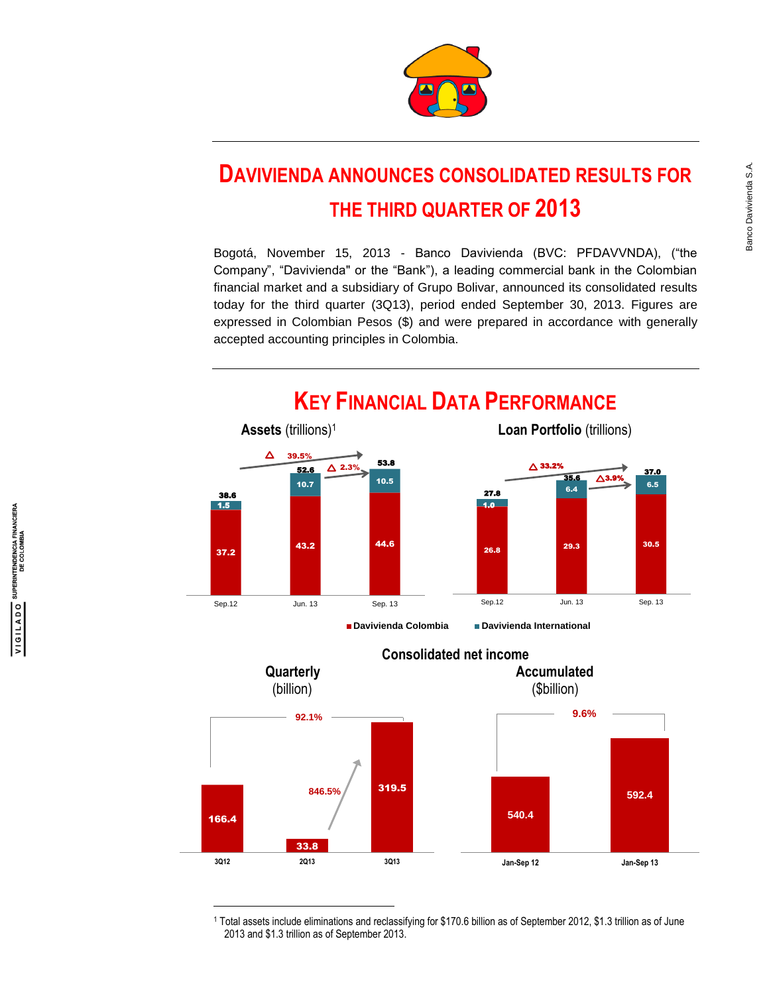

# **DAVIVIENDA ANNOUNCES CONSOLIDATED RESULTS FOR THE THIRD QUARTER OF 2013**

Bogotá, November 15, 2013 - Banco Davivienda (BVC: PFDAVVNDA), ("the Company", "Davivienda" or the "Bank"), a leading commercial bank in the Colombian financial market and a subsidiary of Grupo Bolivar, announced its consolidated results today for the third quarter (3Q13), period ended September 30, 2013. Figures are expressed in Colombian Pesos (\$) and were prepared in accordance with generally accepted accounting principles in Colombia.





<sup>1</sup> Total assets include eliminations and reclassifying for \$170.6 billion as of September 2012, \$1.3 trillion as of June 2013 and \$1.3 trillion as of September 2013.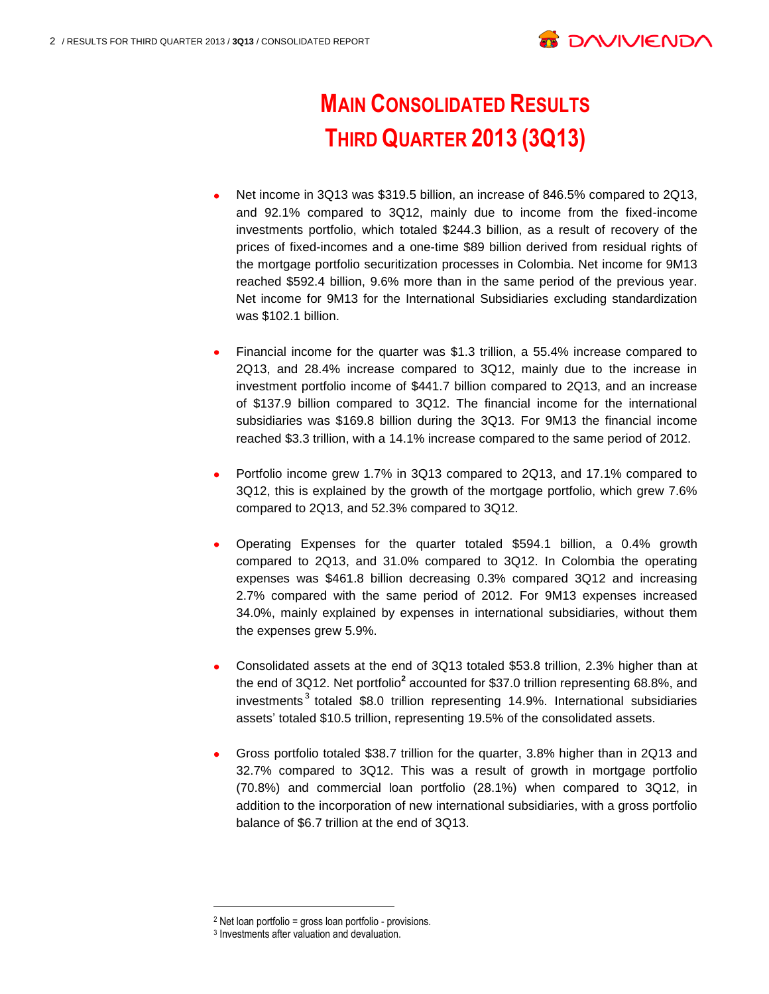

# **MAIN CONSOLIDATED RESULTS THIRD QUARTER 2013 (3Q13)**

- Net income in 3Q13 was \$319.5 billion, an increase of 846.5% compared to 2Q13, and 92.1% compared to 3Q12, mainly due to income from the fixed-income investments portfolio, which totaled \$244.3 billion, as a result of recovery of the prices of fixed-incomes and a one-time \$89 billion derived from residual rights of the mortgage portfolio securitization processes in Colombia. Net income for 9M13 reached \$592.4 billion, 9.6% more than in the same period of the previous year. Net income for 9M13 for the International Subsidiaries excluding standardization was \$102.1 billion.
- Financial income for the quarter was \$1.3 trillion, a 55.4% increase compared to 2Q13, and 28.4% increase compared to 3Q12, mainly due to the increase in investment portfolio income of \$441.7 billion compared to 2Q13, and an increase of \$137.9 billion compared to 3Q12. The financial income for the international subsidiaries was \$169.8 billion during the 3Q13. For 9M13 the financial income reached \$3.3 trillion, with a 14.1% increase compared to the same period of 2012.
- Portfolio income grew 1.7% in 3Q13 compared to 2Q13, and 17.1% compared to 3Q12, this is explained by the growth of the mortgage portfolio, which grew 7.6% compared to 2Q13, and 52.3% compared to 3Q12.
- Operating Expenses for the quarter totaled \$594.1 billion, a 0.4% growth compared to 2Q13, and 31.0% compared to 3Q12. In Colombia the operating expenses was \$461.8 billion decreasing 0.3% compared 3Q12 and increasing 2.7% compared with the same period of 2012. For 9M13 expenses increased 34.0%, mainly explained by expenses in international subsidiaries, without them the expenses grew 5.9%.
- Consolidated assets at the end of 3Q13 totaled \$53.8 trillion, 2.3% higher than at the end of 3Q12. Net portfolio**<sup>2</sup>** accounted for \$37.0 trillion representing 68.8%, and investments<sup>3</sup> totaled \$8.0 trillion representing 14.9%. International subsidiaries assets' totaled \$10.5 trillion, representing 19.5% of the consolidated assets.
- Gross portfolio totaled \$38.7 trillion for the quarter, 3.8% higher than in 2Q13 and 32.7% compared to 3Q12. This was a result of growth in mortgage portfolio (70.8%) and commercial loan portfolio (28.1%) when compared to 3Q12, in addition to the incorporation of new international subsidiaries, with a gross portfolio balance of \$6.7 trillion at the end of 3Q13.

<sup>2</sup> Net loan portfolio = gross loan portfolio - provisions.

<sup>3</sup> Investments after valuation and devaluation.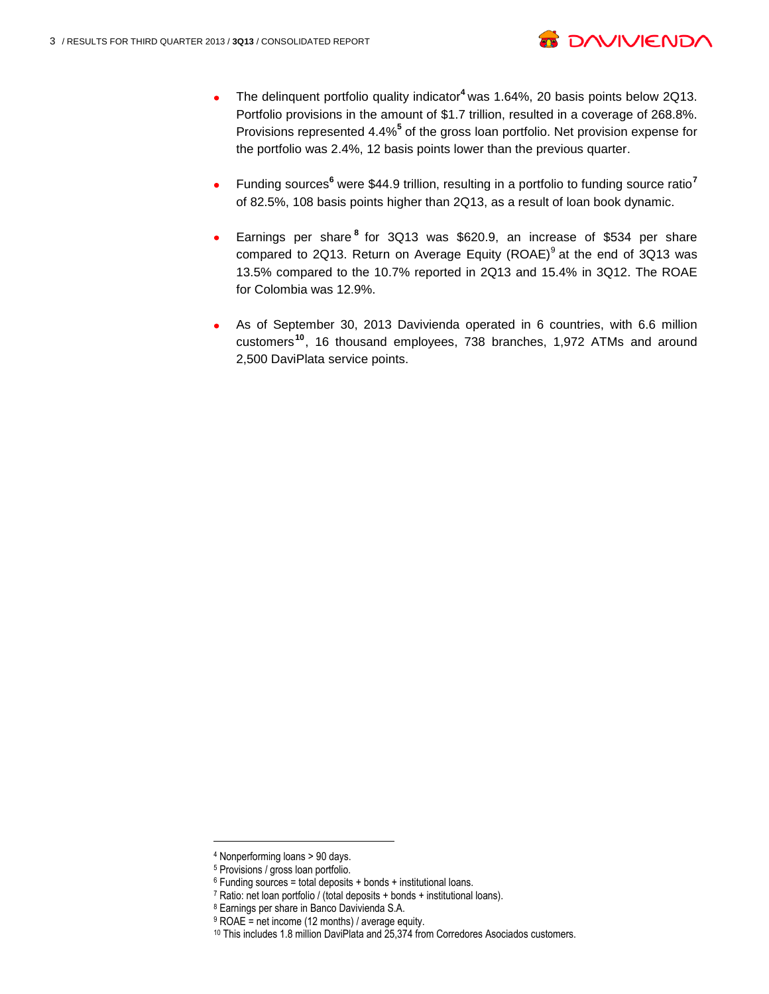

- The delinquent portfolio quality indicator**<sup>4</sup>** was 1.64%, 20 basis points below 2Q13. Portfolio provisions in the amount of \$1.7 trillion, resulted in a coverage of 268.8%. Provisions represented 4.4%**<sup>5</sup>** of the gross loan portfolio. Net provision expense for the portfolio was 2.4%, 12 basis points lower than the previous quarter.
- Funding sources**<sup>6</sup>** were \$44.9 trillion, resulting in a portfolio to funding source ratio**<sup>7</sup>** of 82.5%, 108 basis points higher than 2Q13, as a result of loan book dynamic.
- Earnings per share **<sup>8</sup>** for 3Q13 was \$620.9, an increase of \$534 per share compared to 2Q13. Return on Average Equity (ROAE) $<sup>9</sup>$  at the end of 3Q13 was</sup> 13.5% compared to the 10.7% reported in 2Q13 and 15.4% in 3Q12. The ROAE for Colombia was 12.9%.
- As of September 30, 2013 Davivienda operated in 6 countries, with 6.6 million customers**<sup>10</sup>** , 16 thousand employees, 738 branches, 1,972 ATMs and around 2,500 DaviPlata service points.

 $\overline{a}$ 

<sup>4</sup> Nonperforming loans > 90 days.

<sup>5</sup> Provisions / gross loan portfolio.

 $6$  Funding sources = total deposits + bonds + institutional loans.

<sup>7</sup> Ratio: net loan portfolio / (total deposits + bonds + institutional loans).

<sup>8</sup> Earnings per share in Banco Davivienda S.A.

 $9$  ROAE = net income (12 months) / average equity.

<sup>10</sup> This includes 1.8 million DaviPlata and 25,374 from Corredores Asociados customers.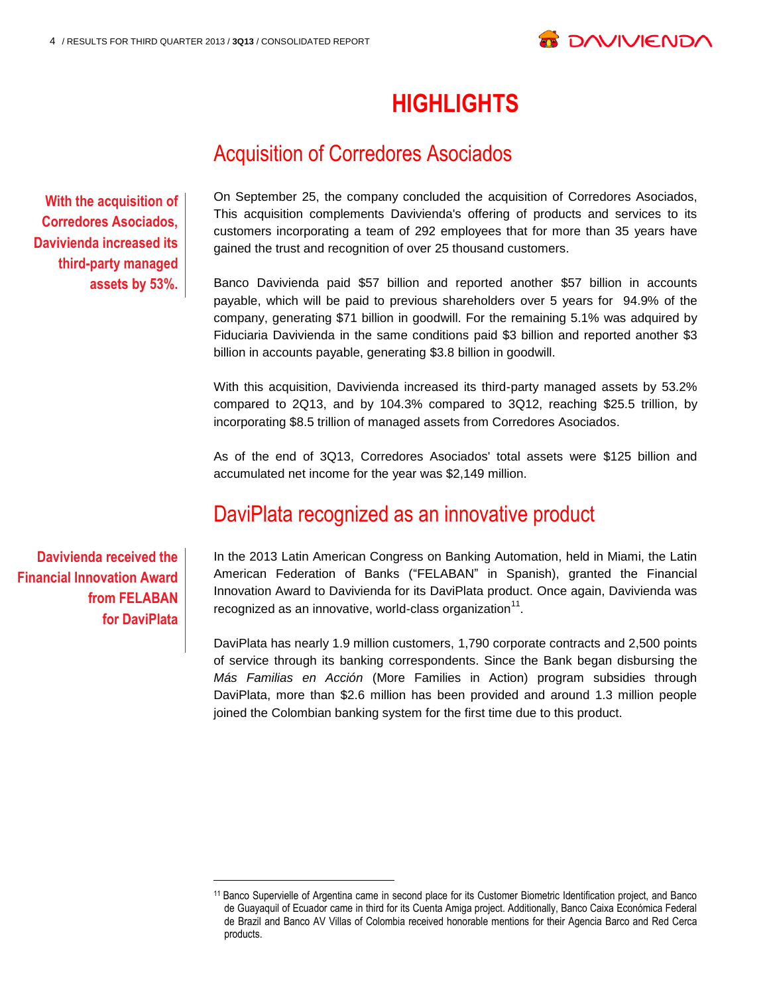

# **HIGHLIGHTS**

# Acquisition of Corredores Asociados

**With the acquisition of Corredores Asociados, Davivienda increased its third-party managed assets by 53%.**  On September 25, the company concluded the acquisition of Corredores Asociados, This acquisition complements Davivienda's offering of products and services to its customers incorporating a team of 292 employees that for more than 35 years have gained the trust and recognition of over 25 thousand customers.

Banco Davivienda paid \$57 billion and reported another \$57 billion in accounts payable, which will be paid to previous shareholders over 5 years for 94.9% of the company, generating \$71 billion in goodwill. For the remaining 5.1% was adquired by Fiduciaria Davivienda in the same conditions paid \$3 billion and reported another \$3 billion in accounts payable, generating \$3.8 billion in goodwill.

With this acquisition, Davivienda increased its third-party managed assets by 53.2% compared to 2Q13, and by 104.3% compared to 3Q12, reaching \$25.5 trillion, by incorporating \$8.5 trillion of managed assets from Corredores Asociados.

As of the end of 3Q13, Corredores Asociados' total assets were \$125 billion and accumulated net income for the year was \$2,149 million.

### DaviPlata recognized as an innovative product

**Davivienda received the Financial Innovation Award from FELABAN for DaviPlata**

l

In the 2013 Latin American Congress on Banking Automation, held in Miami, the Latin American Federation of Banks ("FELABAN" in Spanish), granted the Financial Innovation Award to Davivienda for its DaviPlata product. Once again, Davivienda was recognized as an innovative, world-class organization $^{11}$ .

DaviPlata has nearly 1.9 million customers, 1,790 corporate contracts and 2,500 points of service through its banking correspondents. Since the Bank began disbursing the *Más Familias en Acción* (More Families in Action) program subsidies through DaviPlata, more than \$2.6 million has been provided and around 1.3 million people joined the Colombian banking system for the first time due to this product.

<sup>11</sup> Banco Supervielle of Argentina came in second place for its Customer Biometric Identification project, and Banco de Guayaquil of Ecuador came in third for its Cuenta Amiga project. Additionally, Banco Caixa Económica Federal de Brazil and Banco AV Villas of Colombia received honorable mentions for their Agencia Barco and Red Cerca products.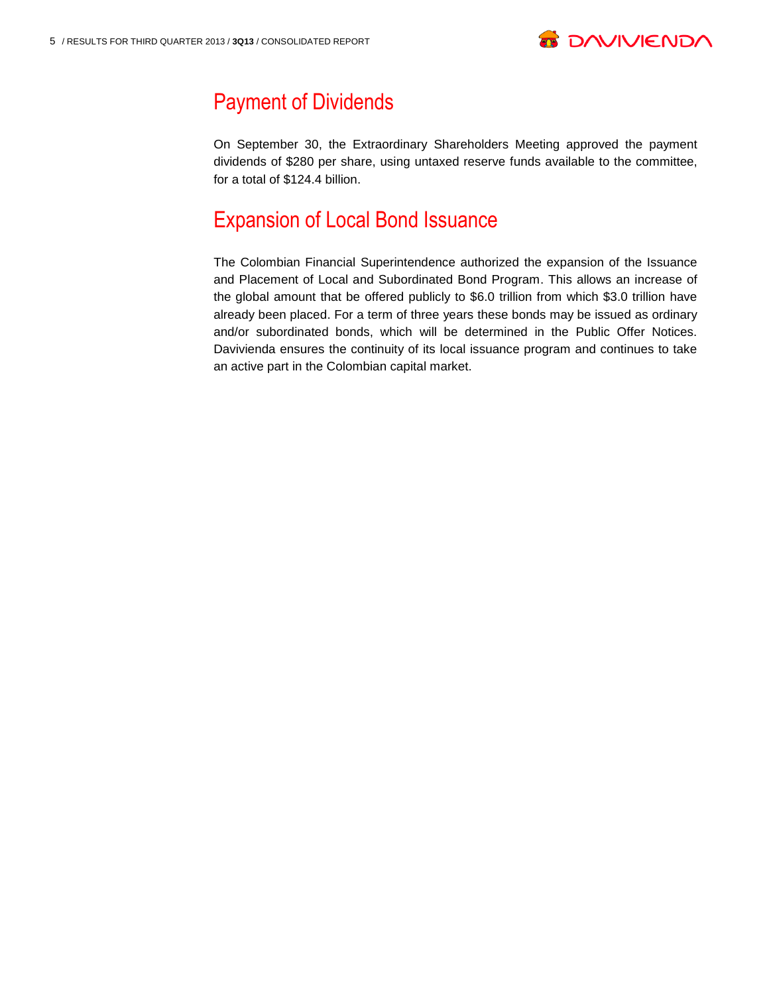

# Payment of Dividends

On September 30, the Extraordinary Shareholders Meeting approved the payment dividends of \$280 per share, using untaxed reserve funds available to the committee, for a total of \$124.4 billion.

## Expansion of Local Bond Issuance

The Colombian Financial Superintendence authorized the expansion of the Issuance and Placement of Local and Subordinated Bond Program. This allows an increase of the global amount that be offered publicly to \$6.0 trillion from which \$3.0 trillion have already been placed. For a term of three years these bonds may be issued as ordinary and/or subordinated bonds, which will be determined in the Public Offer Notices. Davivienda ensures the continuity of its local issuance program and continues to take an active part in the Colombian capital market.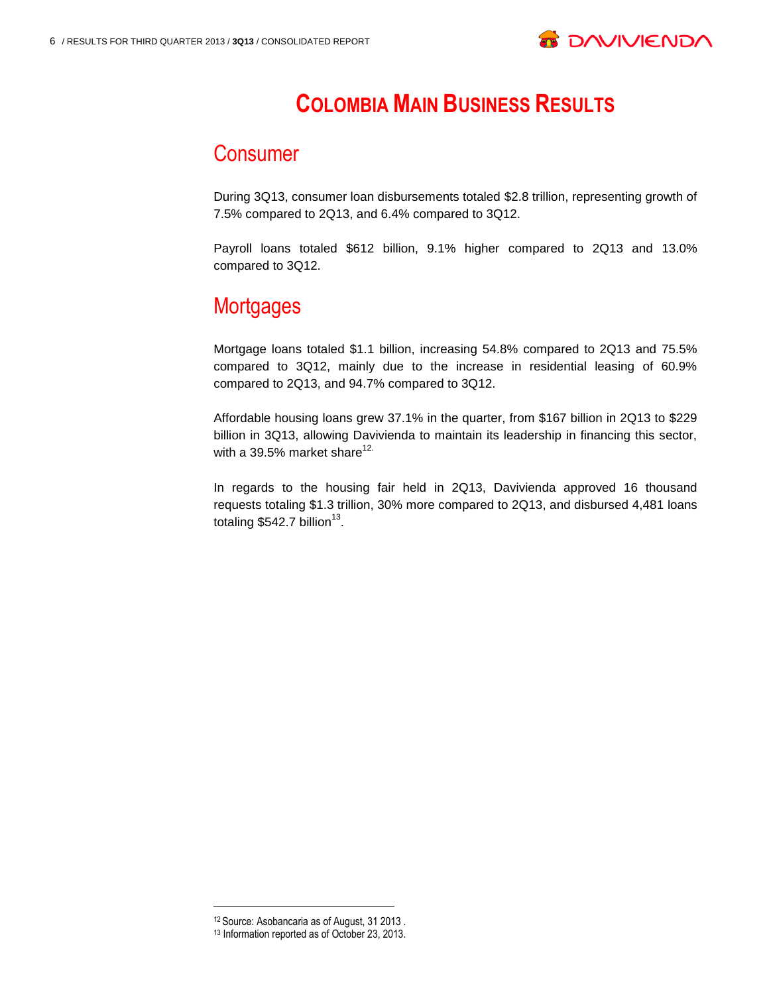

# **COLOMBIA MAIN BUSINESS RESULTS**

### Consumer

During 3Q13, consumer loan disbursements totaled \$2.8 trillion, representing growth of 7.5% compared to 2Q13, and 6.4% compared to 3Q12.

Payroll loans totaled \$612 billion, 9.1% higher compared to 2Q13 and 13.0% compared to 3Q12.

# **Mortgages**

Mortgage loans totaled \$1.1 billion, increasing 54.8% compared to 2Q13 and 75.5% compared to 3Q12, mainly due to the increase in residential leasing of 60.9% compared to 2Q13, and 94.7% compared to 3Q12.

Affordable housing loans grew 37.1% in the quarter, from \$167 billion in 2Q13 to \$229 billion in 3Q13, allowing Davivienda to maintain its leadership in financing this sector, with a 39.5% market share $12$ .

In regards to the housing fair held in 2Q13, Davivienda approved 16 thousand requests totaling \$1.3 trillion, 30% more compared to 2Q13, and disbursed 4,481 loans totaling \$542.7 billion<sup>13</sup>.

<sup>12</sup> Source: Asobancaria as of August, 31 2013 .

<sup>13</sup> Information reported as of October 23, 2013.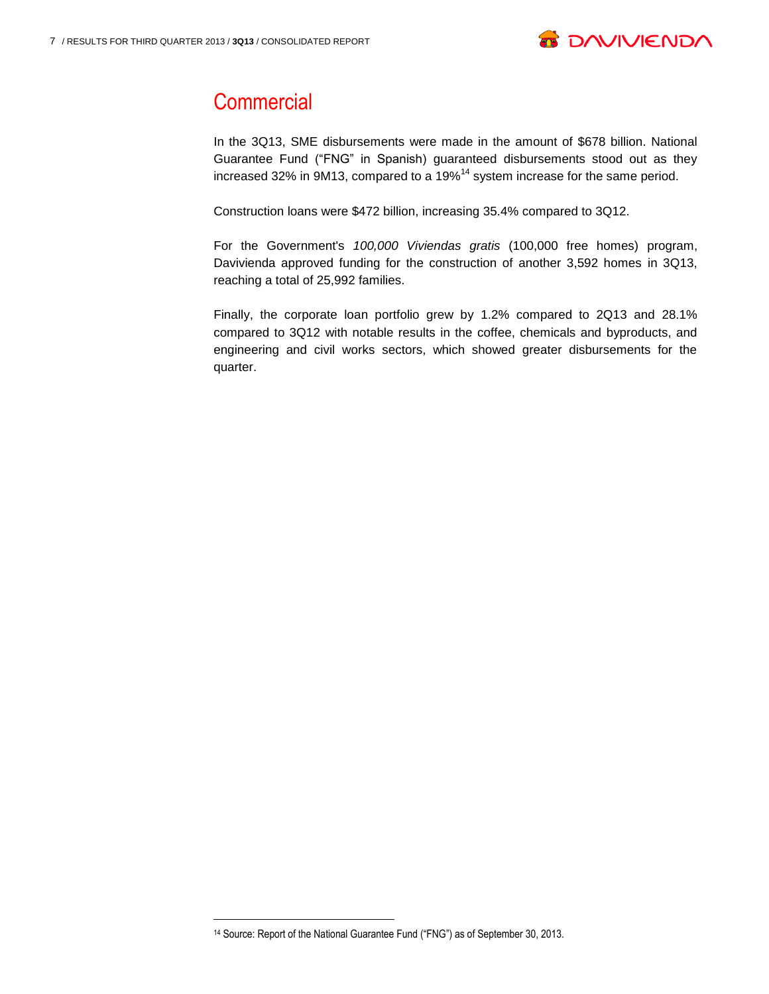

## **Commercial**

In the 3Q13, SME disbursements were made in the amount of \$678 billion. National Guarantee Fund ("FNG" in Spanish) guaranteed disbursements stood out as they increased 32% in 9M13, compared to a 19%<sup>14</sup> system increase for the same period.

Construction loans were \$472 billion, increasing 35.4% compared to 3Q12.

For the Government's *100,000 Viviendas gratis* (100,000 free homes) program, Davivienda approved funding for the construction of another 3,592 homes in 3Q13, reaching a total of 25,992 families.

Finally, the corporate loan portfolio grew by 1.2% compared to 2Q13 and 28.1% compared to 3Q12 with notable results in the coffee, chemicals and byproducts, and engineering and civil works sectors, which showed greater disbursements for the quarter.

<sup>14</sup> Source: Report of the National Guarantee Fund ("FNG") as of September 30, 2013.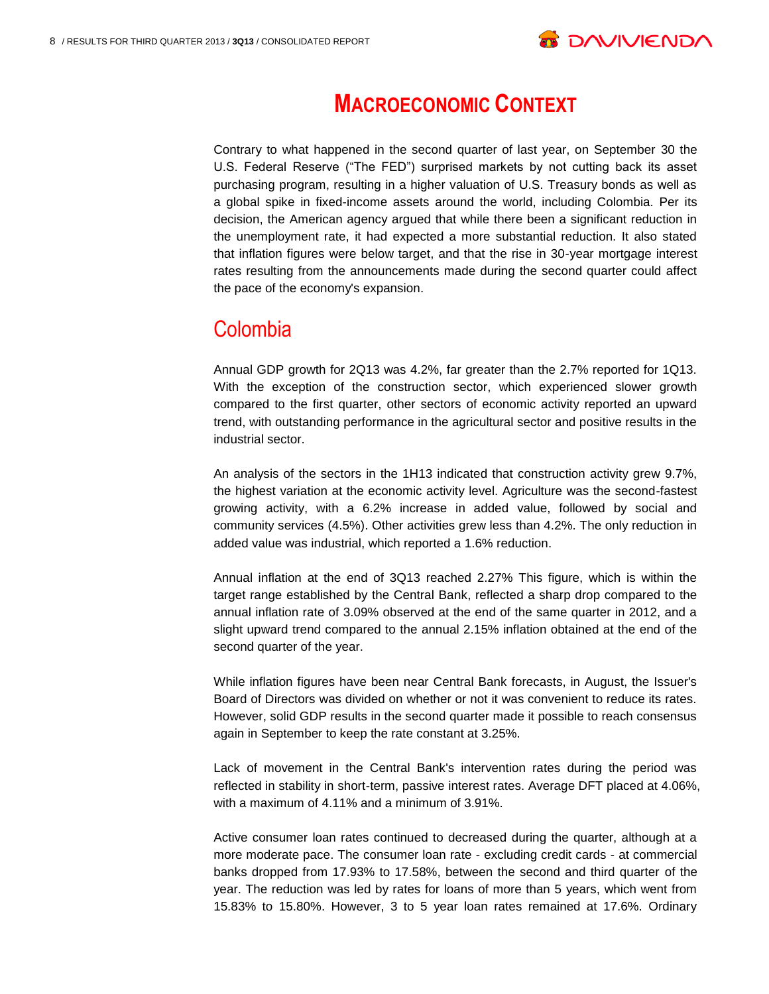

# **MACROECONOMIC CONTEXT**

Contrary to what happened in the second quarter of last year, on September 30 the U.S. Federal Reserve ("The FED") surprised markets by not cutting back its asset purchasing program, resulting in a higher valuation of U.S. Treasury bonds as well as a global spike in fixed-income assets around the world, including Colombia. Per its decision, the American agency argued that while there been a significant reduction in the unemployment rate, it had expected a more substantial reduction. It also stated that inflation figures were below target, and that the rise in 30-year mortgage interest rates resulting from the announcements made during the second quarter could affect the pace of the economy's expansion.

### Colombia

Annual GDP growth for 2Q13 was 4.2%, far greater than the 2.7% reported for 1Q13. With the exception of the construction sector, which experienced slower growth compared to the first quarter, other sectors of economic activity reported an upward trend, with outstanding performance in the agricultural sector and positive results in the industrial sector.

An analysis of the sectors in the 1H13 indicated that construction activity grew 9.7%, the highest variation at the economic activity level. Agriculture was the second-fastest growing activity, with a 6.2% increase in added value, followed by social and community services (4.5%). Other activities grew less than 4.2%. The only reduction in added value was industrial, which reported a 1.6% reduction.

Annual inflation at the end of 3Q13 reached 2.27% This figure, which is within the target range established by the Central Bank, reflected a sharp drop compared to the annual inflation rate of 3.09% observed at the end of the same quarter in 2012, and a slight upward trend compared to the annual 2.15% inflation obtained at the end of the second quarter of the year.

While inflation figures have been near Central Bank forecasts, in August, the Issuer's Board of Directors was divided on whether or not it was convenient to reduce its rates. However, solid GDP results in the second quarter made it possible to reach consensus again in September to keep the rate constant at 3.25%.

Lack of movement in the Central Bank's intervention rates during the period was reflected in stability in short-term, passive interest rates. Average DFT placed at 4.06%, with a maximum of 4.11% and a minimum of 3.91%.

Active consumer loan rates continued to decreased during the quarter, although at a more moderate pace. The consumer loan rate - excluding credit cards - at commercial banks dropped from 17.93% to 17.58%, between the second and third quarter of the year. The reduction was led by rates for loans of more than 5 years, which went from 15.83% to 15.80%. However, 3 to 5 year loan rates remained at 17.6%. Ordinary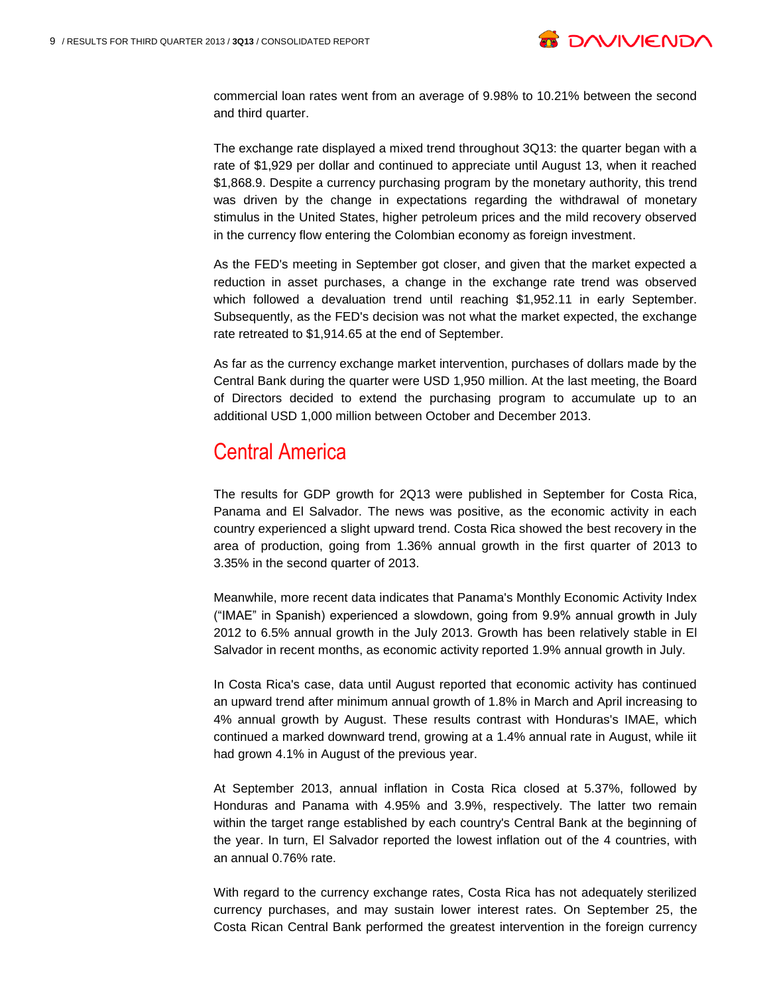

commercial loan rates went from an average of 9.98% to 10.21% between the second and third quarter.

The exchange rate displayed a mixed trend throughout 3Q13: the quarter began with a rate of \$1,929 per dollar and continued to appreciate until August 13, when it reached \$1,868.9. Despite a currency purchasing program by the monetary authority, this trend was driven by the change in expectations regarding the withdrawal of monetary stimulus in the United States, higher petroleum prices and the mild recovery observed in the currency flow entering the Colombian economy as foreign investment.

As the FED's meeting in September got closer, and given that the market expected a reduction in asset purchases, a change in the exchange rate trend was observed which followed a devaluation trend until reaching \$1,952.11 in early September. Subsequently, as the FED's decision was not what the market expected, the exchange rate retreated to \$1,914.65 at the end of September.

As far as the currency exchange market intervention, purchases of dollars made by the Central Bank during the quarter were USD 1,950 million. At the last meeting, the Board of Directors decided to extend the purchasing program to accumulate up to an additional USD 1,000 million between October and December 2013.

### Central America

The results for GDP growth for 2Q13 were published in September for Costa Rica, Panama and El Salvador. The news was positive, as the economic activity in each country experienced a slight upward trend. Costa Rica showed the best recovery in the area of production, going from 1.36% annual growth in the first quarter of 2013 to 3.35% in the second quarter of 2013.

Meanwhile, more recent data indicates that Panama's Monthly Economic Activity Index ("IMAE" in Spanish) experienced a slowdown, going from 9.9% annual growth in July 2012 to 6.5% annual growth in the July 2013. Growth has been relatively stable in El Salvador in recent months, as economic activity reported 1.9% annual growth in July.

In Costa Rica's case, data until August reported that economic activity has continued an upward trend after minimum annual growth of 1.8% in March and April increasing to 4% annual growth by August. These results contrast with Honduras's IMAE, which continued a marked downward trend, growing at a 1.4% annual rate in August, while iit had grown 4.1% in August of the previous year.

At September 2013, annual inflation in Costa Rica closed at 5.37%, followed by Honduras and Panama with 4.95% and 3.9%, respectively. The latter two remain within the target range established by each country's Central Bank at the beginning of the year. In turn, El Salvador reported the lowest inflation out of the 4 countries, with an annual 0.76% rate.

With regard to the currency exchange rates, Costa Rica has not adequately sterilized currency purchases, and may sustain lower interest rates. On September 25, the Costa Rican Central Bank performed the greatest intervention in the foreign currency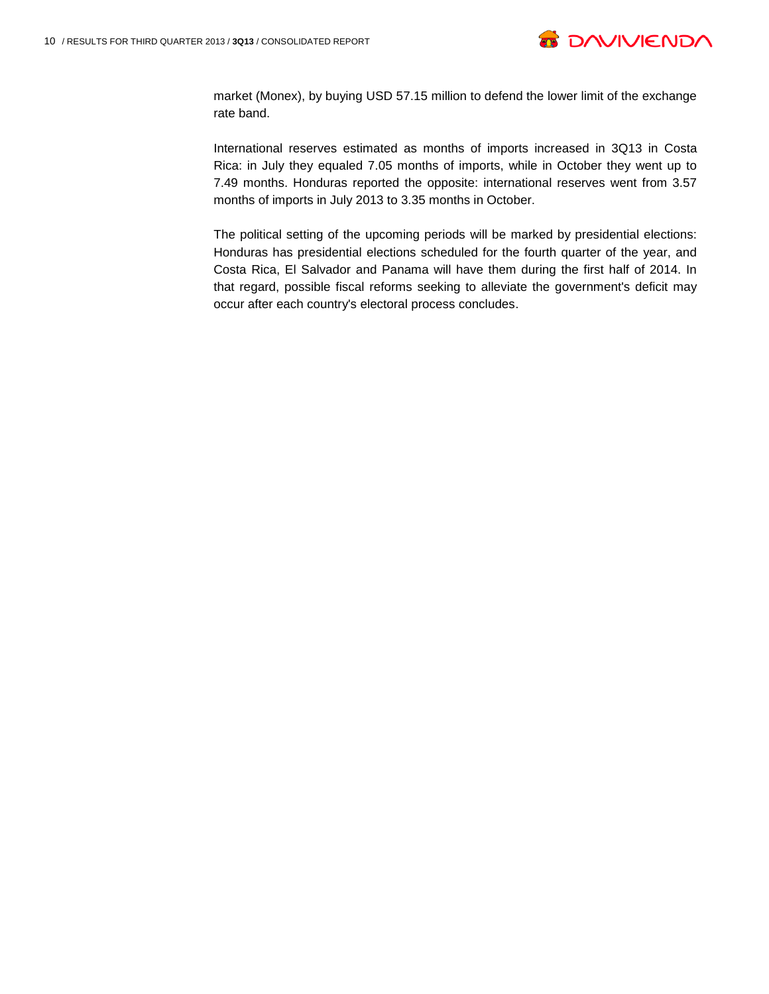

market (Monex), by buying USD 57.15 million to defend the lower limit of the exchange rate band.

International reserves estimated as months of imports increased in 3Q13 in Costa Rica: in July they equaled 7.05 months of imports, while in October they went up to 7.49 months. Honduras reported the opposite: international reserves went from 3.57 months of imports in July 2013 to 3.35 months in October.

The political setting of the upcoming periods will be marked by presidential elections: Honduras has presidential elections scheduled for the fourth quarter of the year, and Costa Rica, El Salvador and Panama will have them during the first half of 2014. In that regard, possible fiscal reforms seeking to alleviate the government's deficit may occur after each country's electoral process concludes.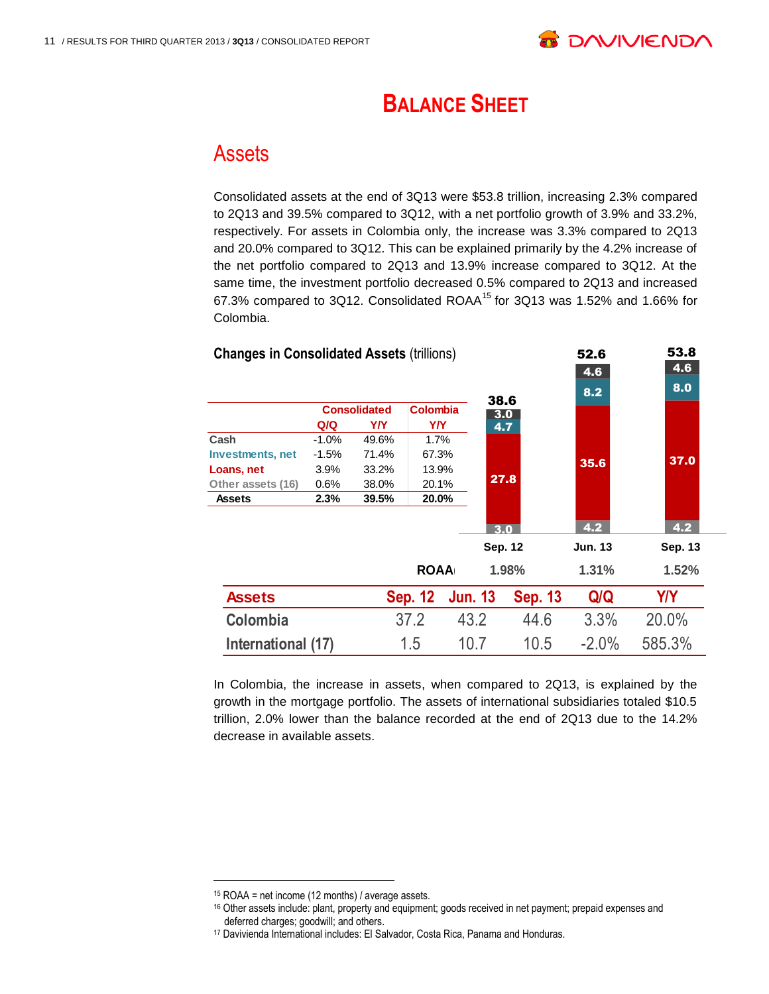

# **BALANCE SHEET**

### Assets

Consolidated assets at the end of 3Q13 were \$53.8 trillion, increasing 2.3% compared to 2Q13 and 39.5% compared to 3Q12, with a net portfolio growth of 3.9% and 33.2%, respectively. For assets in Colombia only, the increase was 3.3% compared to 2Q13 and 20.0% compared to 3Q12. This can be explained primarily by the 4.2% increase of the net portfolio compared to 2Q13 and 13.9% increase compared to 3Q12. At the same time, the investment portfolio decreased 0.5% compared to 2Q13 and increased 67.3% compared to 3Q12. Consolidated ROAA<sup>15</sup> for 3Q13 was 1.52% and 1.66% for Colombia.



In Colombia, the increase in assets, when compared to 2Q13, is explained by the growth in the mortgage portfolio. The assets of international subsidiaries totaled \$10.5 trillion, 2.0% lower than the balance recorded at the end of 2Q13 due to the 14.2% decrease in available assets.

<sup>15</sup> ROAA = net income (12 months) / average assets.

<sup>16</sup> Other assets include: plant, property and equipment; goods received in net payment; prepaid expenses and deferred charges; goodwill; and others.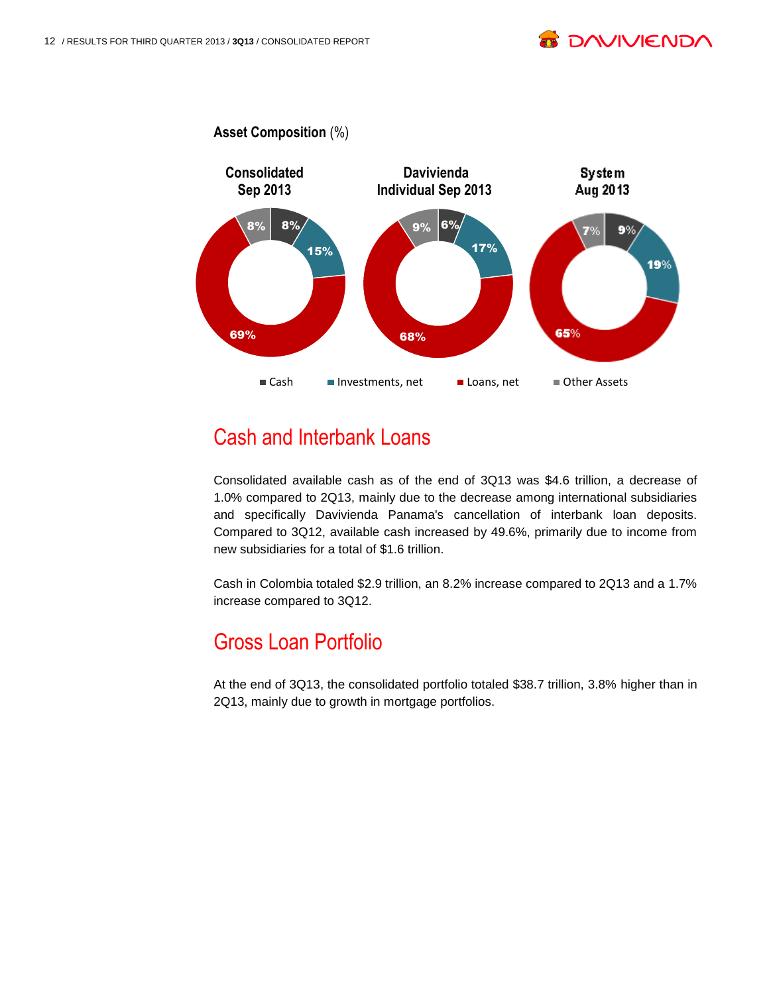



## Cash and Interbank Loans

Consolidated available cash as of the end of 3Q13 was \$4.6 trillion, a decrease of 1.0% compared to 2Q13, mainly due to the decrease among international subsidiaries and specifically Davivienda Panama's cancellation of interbank loan deposits. Compared to 3Q12, available cash increased by 49.6%, primarily due to income from new subsidiaries for a total of \$1.6 trillion.

Cash in Colombia totaled \$2.9 trillion, an 8.2% increase compared to 2Q13 and a 1.7% increase compared to 3Q12.

# Gross Loan Portfolio

At the end of 3Q13, the consolidated portfolio totaled \$38.7 trillion, 3.8% higher than in 2Q13, mainly due to growth in mortgage portfolios.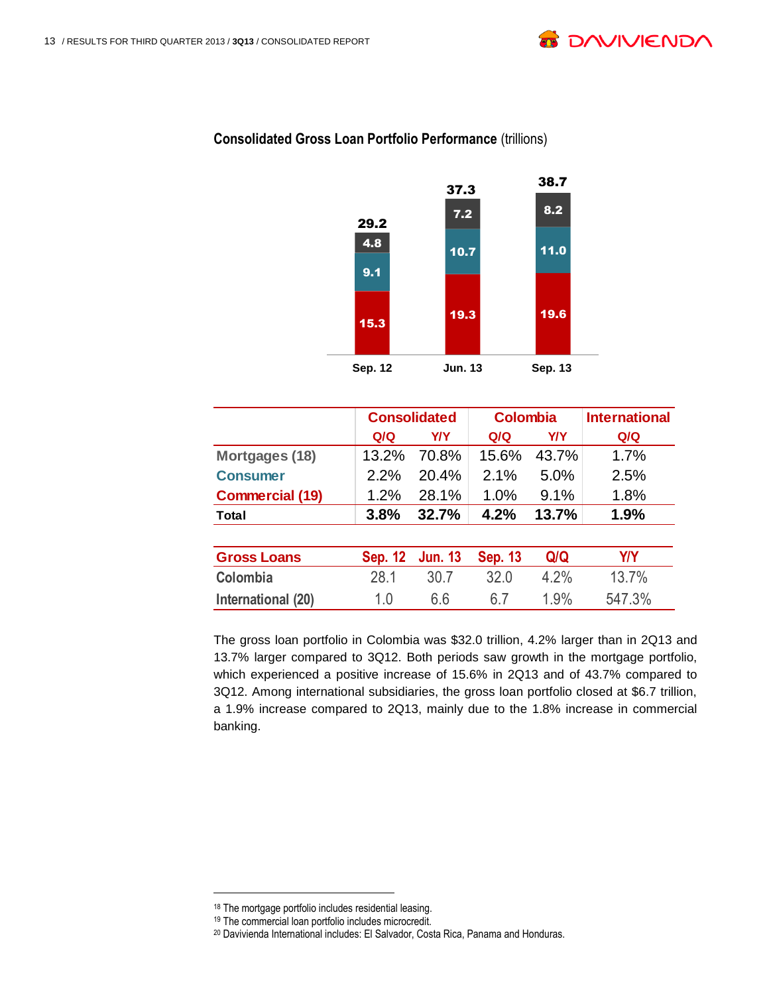



#### **Consolidated Gross Loan Portfolio Performance (trillions)**

|                        |                | <b>Consolidated</b> | <b>Colombia</b> |            | <b>International</b> |
|------------------------|----------------|---------------------|-----------------|------------|----------------------|
|                        | Q/Q            | <b>Y/Y</b>          | Q/Q             | <b>Y/Y</b> | Q/Q                  |
| Mortgages (18)         | 13.2%          | 70.8%               | 15.6%           | 43.7%      | 1.7%                 |
| <b>Consumer</b>        | 2.2%           | 20.4%               | 2.1%            | 5.0%       | 2.5%                 |
| <b>Commercial (19)</b> | 1.2%           | 28.1%               | 1.0%            | 9.1%       | 1.8%                 |
| Total                  | 3.8%           | 32.7%               | 4.2%            | 13.7%      | 1.9%                 |
|                        |                |                     |                 |            |                      |
| <b>Gross Loans</b>     | <b>Sep. 12</b> | <b>Jun. 13</b>      | <b>Sep. 13</b>  | Q/Q        | <b>Y/Y</b>           |
| Colombia               | 28.1           | 30.7                | 32.0            | 4.2%       | 13.7%                |
| International (20)     | 1.0            | 6.6                 | 6.7             | 1.9%       | 547.3%               |

The gross loan portfolio in Colombia was \$32.0 trillion, 4.2% larger than in 2Q13 and 13.7% larger compared to 3Q12. Both periods saw growth in the mortgage portfolio, which experienced a positive increase of 15.6% in 2Q13 and of 43.7% compared to 3Q12. Among international subsidiaries, the gross loan portfolio closed at \$6.7 trillion, a 1.9% increase compared to 2Q13, mainly due to the 1.8% increase in commercial banking.

<sup>18</sup> The mortgage portfolio includes residential leasing.

<sup>19</sup> The commercial loan portfolio includes microcredit.

<sup>20</sup> Davivienda International includes: El Salvador, Costa Rica, Panama and Honduras.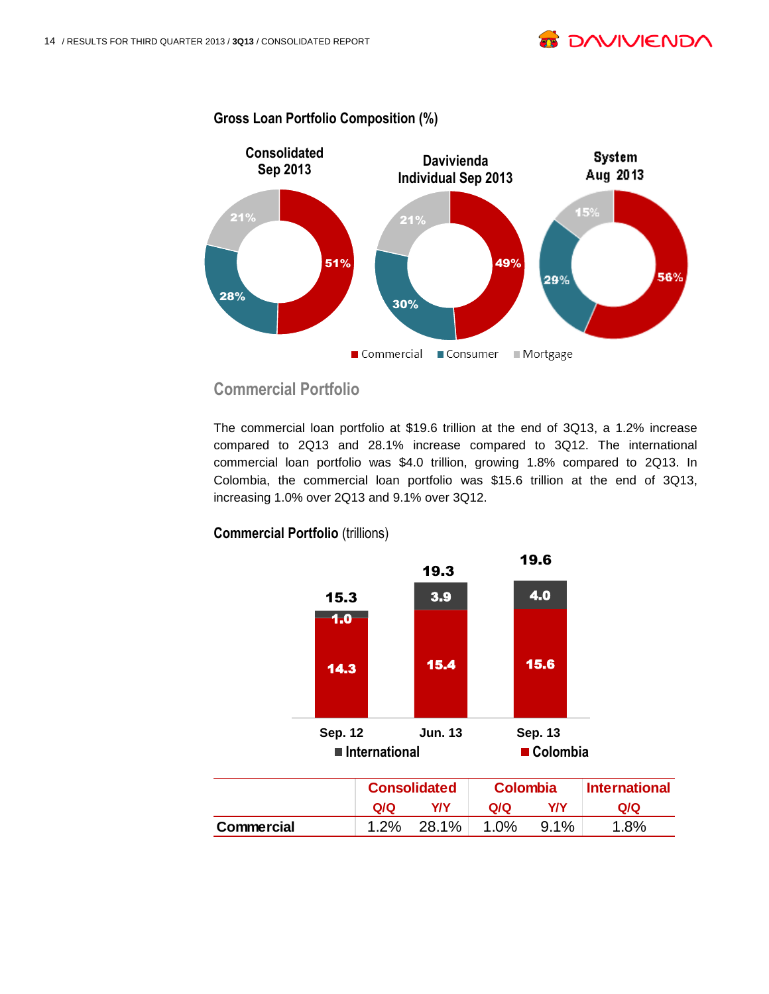



**Gross Loan Portfolio Composition (%)**

### **Commercial Portfolio**

The commercial loan portfolio at \$19.6 trillion at the end of 3Q13, a 1.2% increase compared to 2Q13 and 28.1% increase compared to 3Q12. The international commercial loan portfolio was \$4.0 trillion, growing 1.8% compared to 2Q13. In Colombia, the commercial loan portfolio was \$15.6 trillion at the end of 3Q13, increasing 1.0% over 2Q13 and 9.1% over 3Q12.



#### **Commercial Portfolio** (trillions)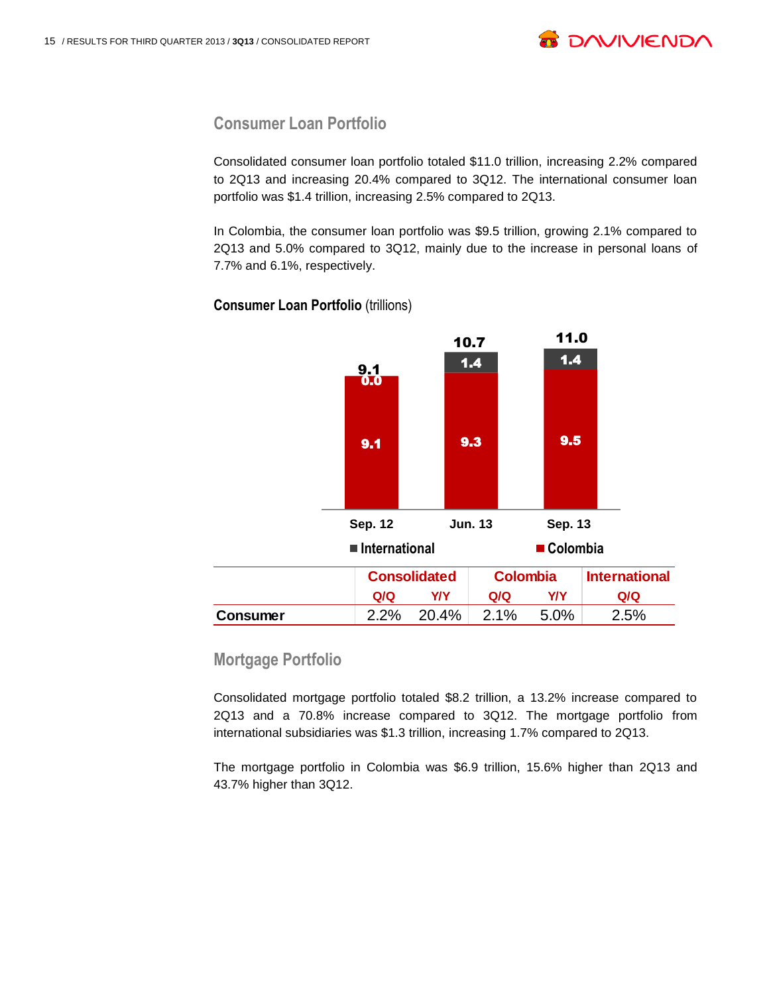

#### **Consumer Loan Portfolio**

Consolidated consumer loan portfolio totaled \$11.0 trillion, increasing 2.2% compared to 2Q13 and increasing 20.4% compared to 3Q12. The international consumer loan portfolio was \$1.4 trillion, increasing 2.5% compared to 2Q13.

In Colombia, the consumer loan portfolio was \$9.5 trillion, growing 2.1% compared to 2Q13 and 5.0% compared to 3Q12, mainly due to the increase in personal loans of 7.7% and 6.1%, respectively.



**Consumer Loan Portfolio** (trillions)

#### **Mortgage Portfolio**

Consolidated mortgage portfolio totaled \$8.2 trillion, a 13.2% increase compared to 2Q13 and a 70.8% increase compared to 3Q12. The mortgage portfolio from international subsidiaries was \$1.3 trillion, increasing 1.7% compared to 2Q13.

The mortgage portfolio in Colombia was \$6.9 trillion, 15.6% higher than 2Q13 and 43.7% higher than 3Q12.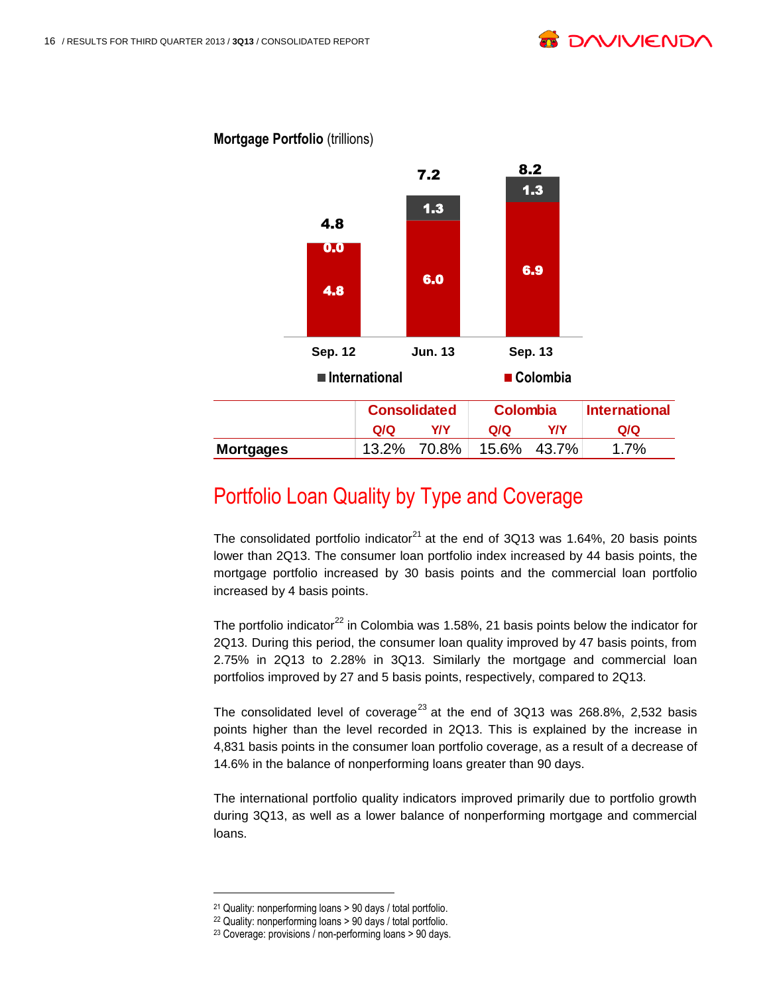

#### **Mortgage Portfolio** (trillions)

### Portfolio Loan Quality by Type and Coverage

The consolidated portfolio indicator<sup>21</sup> at the end of 3Q13 was 1.64%, 20 basis points lower than 2Q13. The consumer loan portfolio index increased by 44 basis points, the mortgage portfolio increased by 30 basis points and the commercial loan portfolio increased by 4 basis points.

The portfolio indicator<sup>22</sup> in Colombia was 1.58%, 21 basis points below the indicator for 2Q13. During this period, the consumer loan quality improved by 47 basis points, from 2.75% in 2Q13 to 2.28% in 3Q13. Similarly the mortgage and commercial loan portfolios improved by 27 and 5 basis points, respectively, compared to 2Q13.

The consolidated level of coverage<sup>23</sup> at the end of  $3Q13$  was 268.8%, 2,532 basis points higher than the level recorded in 2Q13. This is explained by the increase in 4,831 basis points in the consumer loan portfolio coverage, as a result of a decrease of 14.6% in the balance of nonperforming loans greater than 90 days.

The international portfolio quality indicators improved primarily due to portfolio growth during 3Q13, as well as a lower balance of nonperforming mortgage and commercial loans.

<sup>21</sup> Quality: nonperforming loans > 90 days / total portfolio.

<sup>22</sup> Quality: nonperforming loans > 90 days / total portfolio.

<sup>23</sup> Coverage: provisions / non-performing loans > 90 days.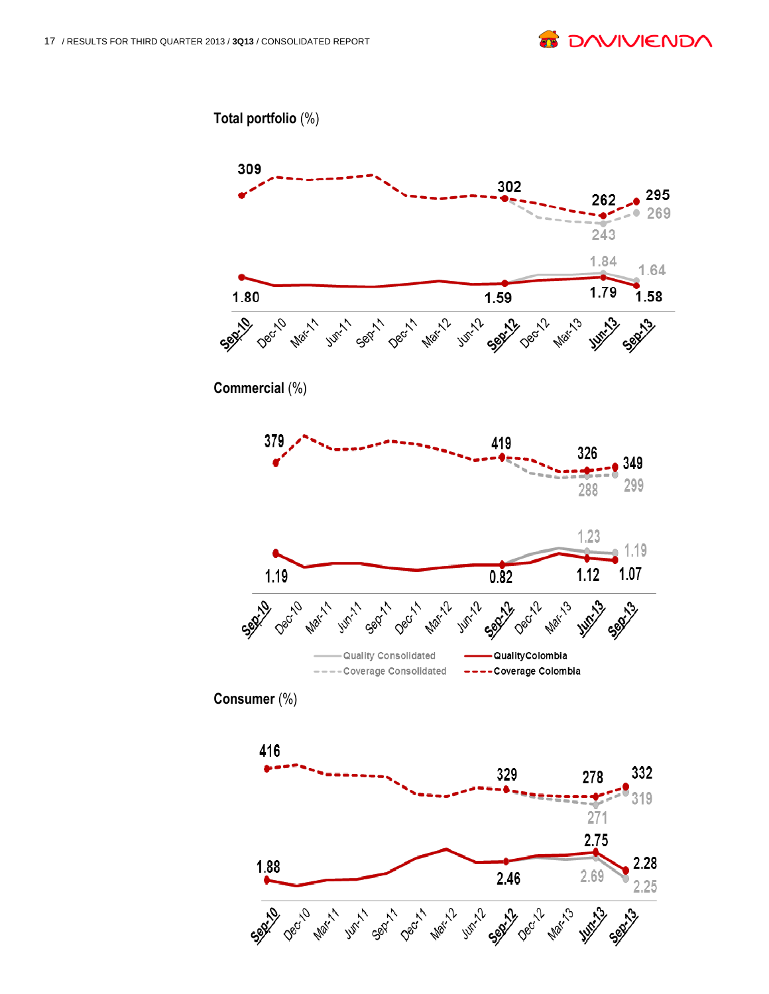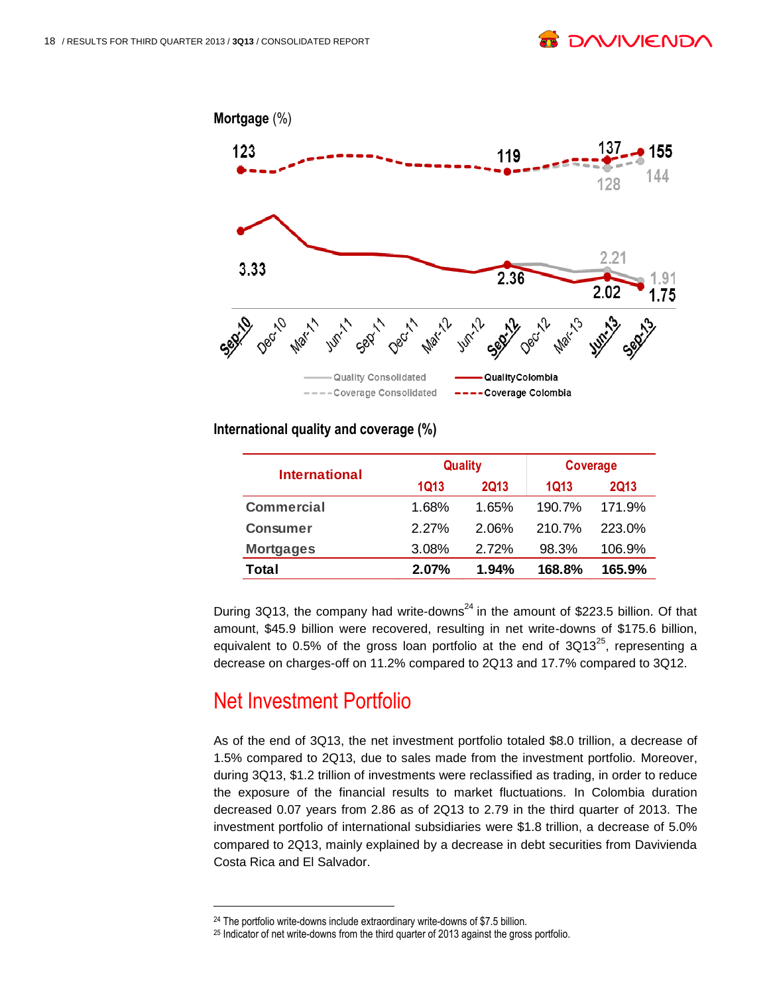

#### **International quality and coverage (%)**

| <b>International</b> |             | <b>Quality</b> | <b>Coverage</b> |             |  |
|----------------------|-------------|----------------|-----------------|-------------|--|
|                      | <b>1Q13</b> | <b>2Q13</b>    | 1Q13            | <b>2Q13</b> |  |
| <b>Commercial</b>    | 1.68%       | 1.65%          | 190.7%          | 171.9%      |  |
| <b>Consumer</b>      | 2.27%       | 2.06%          | 210.7%          | 223.0%      |  |
| <b>Mortgages</b>     | 3.08%       | 2.72%          | 98.3%           | 106.9%      |  |
| Total                | 2.07%       | 1.94%          | 168.8%          | 165.9%      |  |

During 3Q13, the company had write-downs<sup>24</sup> in the amount of \$223.5 billion. Of that amount, \$45.9 billion were recovered, resulting in net write-downs of \$175.6 billion, equivalent to 0.5% of the gross loan portfolio at the end of  $3Q13^{25}$ , representing a decrease on charges-off on 11.2% compared to 2Q13 and 17.7% compared to 3Q12.

# Net Investment Portfolio

l

As of the end of 3Q13, the net investment portfolio totaled \$8.0 trillion, a decrease of 1.5% compared to 2Q13, due to sales made from the investment portfolio. Moreover, during 3Q13, \$1.2 trillion of investments were reclassified as trading, in order to reduce the exposure of the financial results to market fluctuations. In Colombia duration decreased 0.07 years from 2.86 as of 2Q13 to 2.79 in the third quarter of 2013. The investment portfolio of international subsidiaries were \$1.8 trillion, a decrease of 5.0% compared to 2Q13, mainly explained by a decrease in debt securities from Davivienda Costa Rica and El Salvador. **2013 2013 2013 2013 2013 2013 2013 2014 2016 210.7% 223.06 210.7% 223.06 106.97 223.06 106.97 106.97 106.97 106.97 106.97 106.97 106.97 106.97 106.97 106.97 106.97 106.** 

<sup>&</sup>lt;sup>24</sup> The portfolio write-downs include extraordinary write-downs of \$7.5 billion.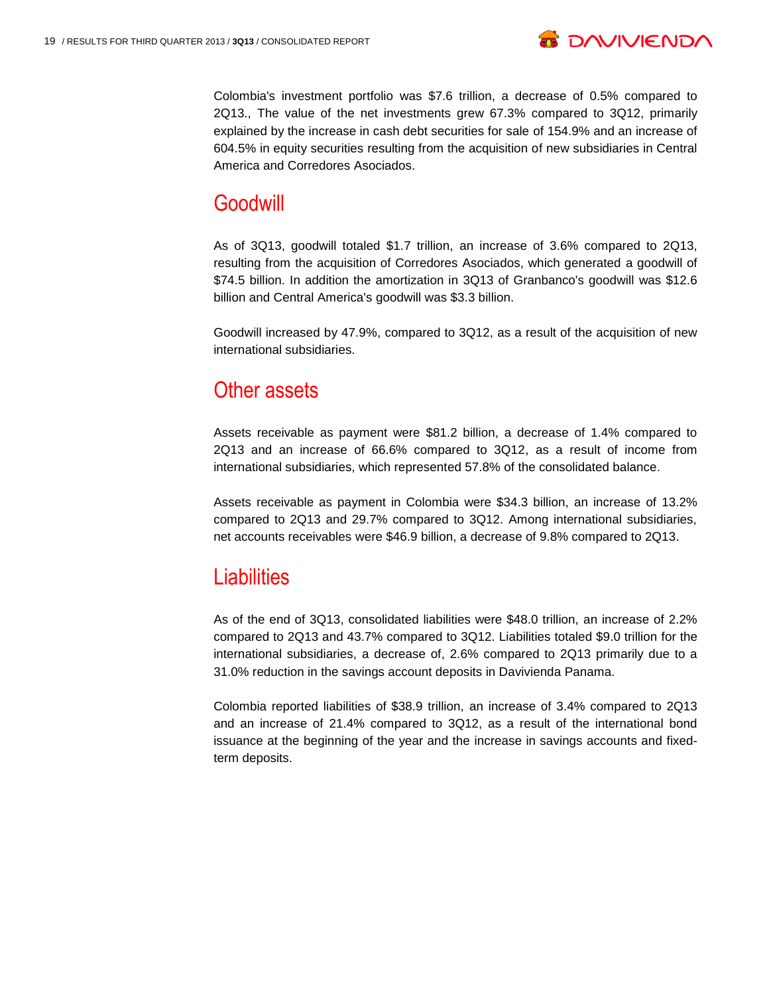

Colombia's investment portfolio was \$7.6 trillion, a decrease of 0.5% compared to 2Q13., The value of the net investments grew 67.3% compared to 3Q12, primarily explained by the increase in cash debt securities for sale of 154.9% and an increase of 604.5% in equity securities resulting from the acquisition of new subsidiaries in Central America and Corredores Asociados.

### **Goodwill**

As of 3Q13, goodwill totaled \$1.7 trillion, an increase of 3.6% compared to 2Q13, resulting from the acquisition of Corredores Asociados, which generated a goodwill of \$74.5 billion. In addition the amortization in 3Q13 of Granbanco's goodwill was \$12.6 billion and Central America's goodwill was \$3.3 billion.

Goodwill increased by 47.9%, compared to 3Q12, as a result of the acquisition of new international subsidiaries.

### Other assets

Assets receivable as payment were \$81.2 billion, a decrease of 1.4% compared to 2Q13 and an increase of 66.6% compared to 3Q12, as a result of income from international subsidiaries, which represented 57.8% of the consolidated balance.

Assets receivable as payment in Colombia were \$34.3 billion, an increase of 13.2% compared to 2Q13 and 29.7% compared to 3Q12. Among international subsidiaries, net accounts receivables were \$46.9 billion, a decrease of 9.8% compared to 2Q13.

# **Liabilities**

As of the end of 3Q13, consolidated liabilities were \$48.0 trillion, an increase of 2.2% compared to 2Q13 and 43.7% compared to 3Q12. Liabilities totaled \$9.0 trillion for the international subsidiaries, a decrease of, 2.6% compared to 2Q13 primarily due to a 31.0% reduction in the savings account deposits in Davivienda Panama.

Colombia reported liabilities of \$38.9 trillion, an increase of 3.4% compared to 2Q13 and an increase of 21.4% compared to 3Q12, as a result of the international bond issuance at the beginning of the year and the increase in savings accounts and fixedterm deposits.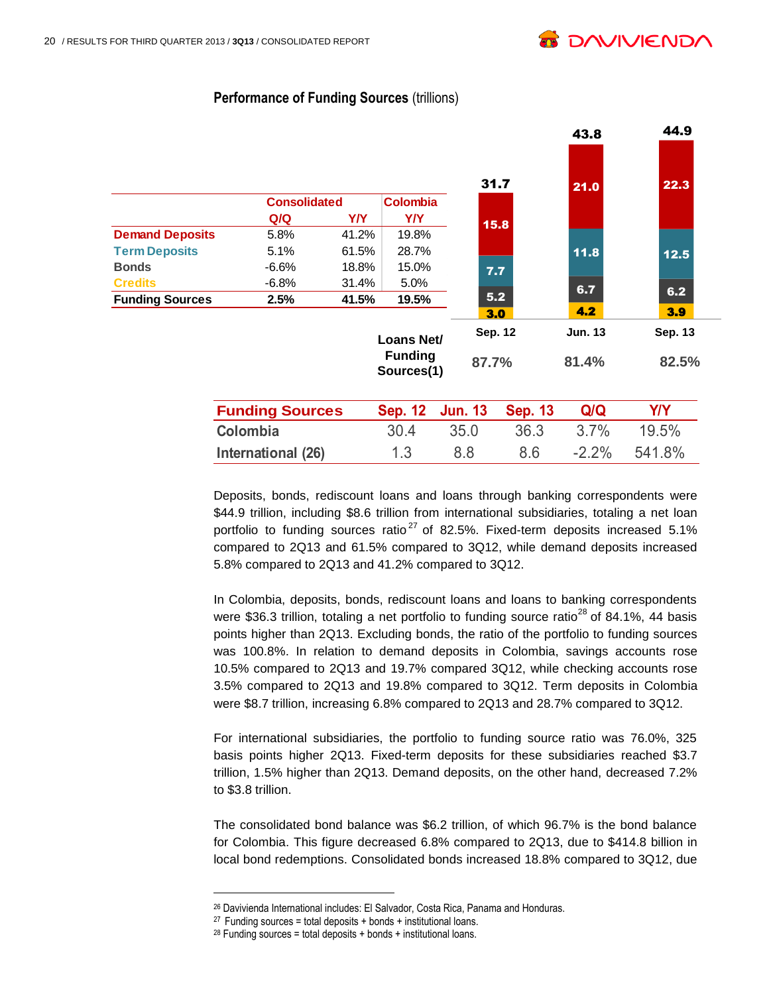

43.8 44.9

|                        |                        |            |                              |                |                       |                | −v.v           |                |
|------------------------|------------------------|------------|------------------------------|----------------|-----------------------|----------------|----------------|----------------|
|                        | <b>Consolidated</b>    |            | <b>Colombia</b>              |                | 31.7                  |                | 21.0           | 22.3           |
|                        | Q/Q                    | <b>Y/Y</b> | Y/Y                          |                | 15.8                  |                |                |                |
| <b>Demand Deposits</b> | 5.8%                   | 41.2%      | 19.8%                        |                |                       |                |                |                |
| <b>Term Deposits</b>   | 5.1%                   | 61.5%      | 28.7%                        |                |                       |                | 11.8           | 12.5           |
| <b>Bonds</b>           | $-6.6%$                | 18.8%      | 15.0%                        |                | 7.7                   |                |                |                |
| <b>Credits</b>         | $-6.8%$                | 31.4%      | 5.0%                         |                |                       |                | 6.7            | 6.2            |
| <b>Funding Sources</b> | 2.5%                   | 41.5%      | 19.5%                        |                | 5.2                   |                |                |                |
|                        |                        |            |                              |                | 3.0<br><b>Sep. 12</b> |                | 4.2            | 3.9<br>Sep. 13 |
|                        |                        |            | Loans Net/                   |                |                       |                | <b>Jun. 13</b> |                |
|                        |                        |            | <b>Funding</b><br>Sources(1) |                | 87.7%                 |                | 81.4%          | 82.5%          |
|                        | <b>Funding Sources</b> |            | <b>Sep. 12</b>               | <b>Jun. 13</b> |                       | <b>Sep. 13</b> | Q/Q            | <b>Y/Y</b>     |
|                        | Colombia               |            | 30.4                         | 35.0           |                       | 36.3           | 3.7%           | 19.5%          |
|                        | International (26)     |            | 1.3                          | 8.8            |                       | 8.6            | $-2.2%$        | 541.8%         |

#### **Performance of Funding Sources (trillions)**

Deposits, bonds, rediscount loans and loans through banking correspondents were \$44.9 trillion, including \$8.6 trillion from international subsidiaries, totaling a net loan portfolio to funding sources ratio<sup>27</sup> of 82.5%. Fixed-term deposits increased 5.1% compared to 2Q13 and 61.5% compared to 3Q12, while demand deposits increased 5.8% compared to 2Q13 and 41.2% compared to 3Q12.

In Colombia, deposits, bonds, rediscount loans and loans to banking correspondents were \$36.3 trillion, totaling a net portfolio to funding source ratio<sup>28</sup> of 84.1%, 44 basis points higher than 2Q13. Excluding bonds, the ratio of the portfolio to funding sources was 100.8%. In relation to demand deposits in Colombia, savings accounts rose 10.5% compared to 2Q13 and 19.7% compared 3Q12, while checking accounts rose 3.5% compared to 2Q13 and 19.8% compared to 3Q12. Term deposits in Colombia were \$8.7 trillion, increasing 6.8% compared to 2Q13 and 28.7% compared to 3Q12.

For international subsidiaries, the portfolio to funding source ratio was 76.0%, 325 basis points higher 2Q13. Fixed-term deposits for these subsidiaries reached \$3.7 trillion, 1.5% higher than 2Q13. Demand deposits, on the other hand, decreased 7.2% to \$3.8 trillion.

The consolidated bond balance was \$6.2 trillion, of which 96.7% is the bond balance for Colombia. This figure decreased 6.8% compared to 2Q13, due to \$414.8 billion in local bond redemptions. Consolidated bonds increased 18.8% compared to 3Q12, due

<sup>26</sup> Davivienda International includes: El Salvador, Costa Rica, Panama and Honduras.

<sup>&</sup>lt;sup>27</sup> Funding sources = total deposits + bonds + institutional loans.

 $28$  Funding sources = total deposits + bonds + institutional loans.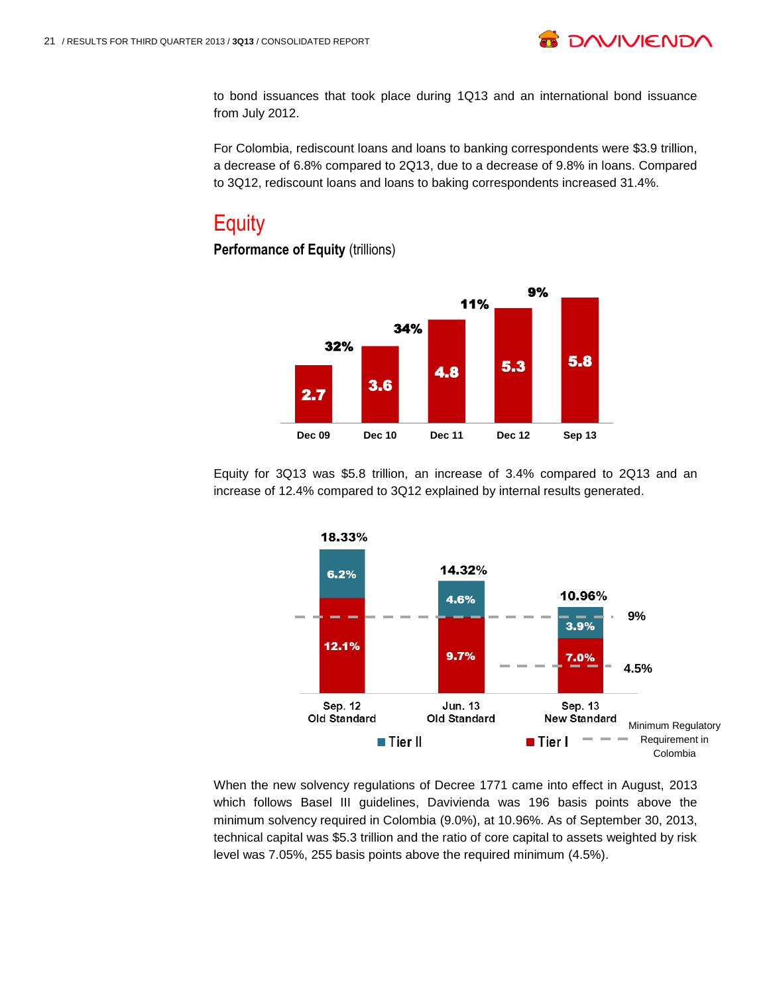

to bond issuances that took place during 1Q13 and an international bond issuance from July 2012.

For Colombia, rediscount loans and loans to banking correspondents were \$3.9 trillion, a decrease of 6.8% compared to 2Q13, due to a decrease of 9.8% in loans. Compared to 3Q12, rediscount loans and loans to baking correspondents increased 31.4%.

# **Equity**

#### **Performance of Equity** (trillions)



Equity for 3Q13 was \$5.8 trillion, an increase of 3.4% compared to 2Q13 and an increase of 12.4% compared to 3Q12 explained by internal results generated.



When the new solvency regulations of Decree 1771 came into effect in August, 2013 which follows Basel III guidelines, Davivienda was 196 basis points above the minimum solvency required in Colombia (9.0%), at 10.96%. As of September 30, 2013, technical capital was \$5.3 trillion and the ratio of core capital to assets weighted by risk level was 7.05%, 255 basis points above the required minimum (4.5%).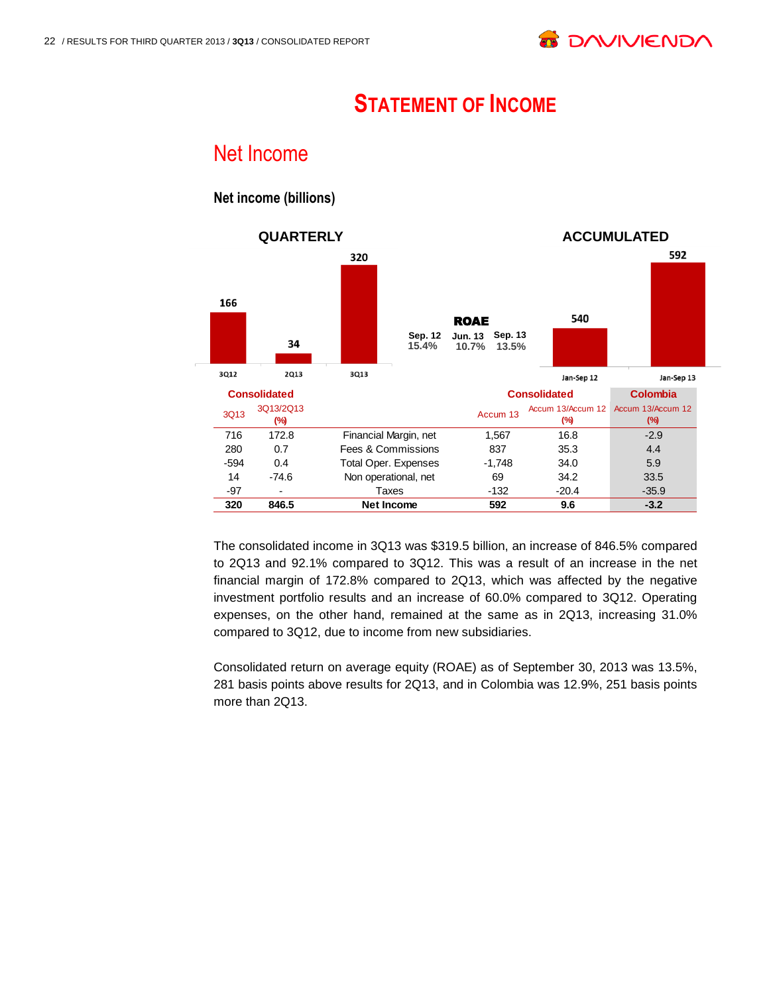# **STATEMENT OF INCOME**

### Net Income

#### **QUARTERLY ACCUMULATED** 592 320 166 540 **ROAE Sep. 12 Jun. 13 Sep. 13** 34 **15.4% 10.7% 13.5%** 3Q12 **2Q13** 3Q13 Jan-Sep 12 Jan-Sep 13 **Consolidated Consolidated Colombia** 3Q13 3Q13/2Q13 **(%)** Accum 13 Accum 13/Accum 12 Accum 13/Accum 12 **(%) (%)** 716 172.8 Financial Margin, net 1,567 16.8 -2.9 280 0.7 Fees & Commissions 837 35.3 4.4 -594 0.4 Total Oper. Expenses -1,748 34.0 5.9 14 -74.6 Non operational, net 69 34.2 33.5 -97 - Taxes -132 -20.4 - 35.9 **320 846.5 Net Income 592 9.6 -3.2**

**Net income (billions)**

The consolidated income in 3Q13 was \$319.5 billion, an increase of 846.5% compared to 2Q13 and 92.1% compared to 3Q12. This was a result of an increase in the net financial margin of 172.8% compared to 2Q13, which was affected by the negative investment portfolio results and an increase of 60.0% compared to 3Q12. Operating expenses, on the other hand, remained at the same as in 2Q13, increasing 31.0% compared to 3Q12, due to income from new subsidiaries.

Consolidated return on average equity (ROAE) as of September 30, 2013 was 13.5%, 281 basis points above results for 2Q13, and in Colombia was 12.9%, 251 basis points more than 2Q13.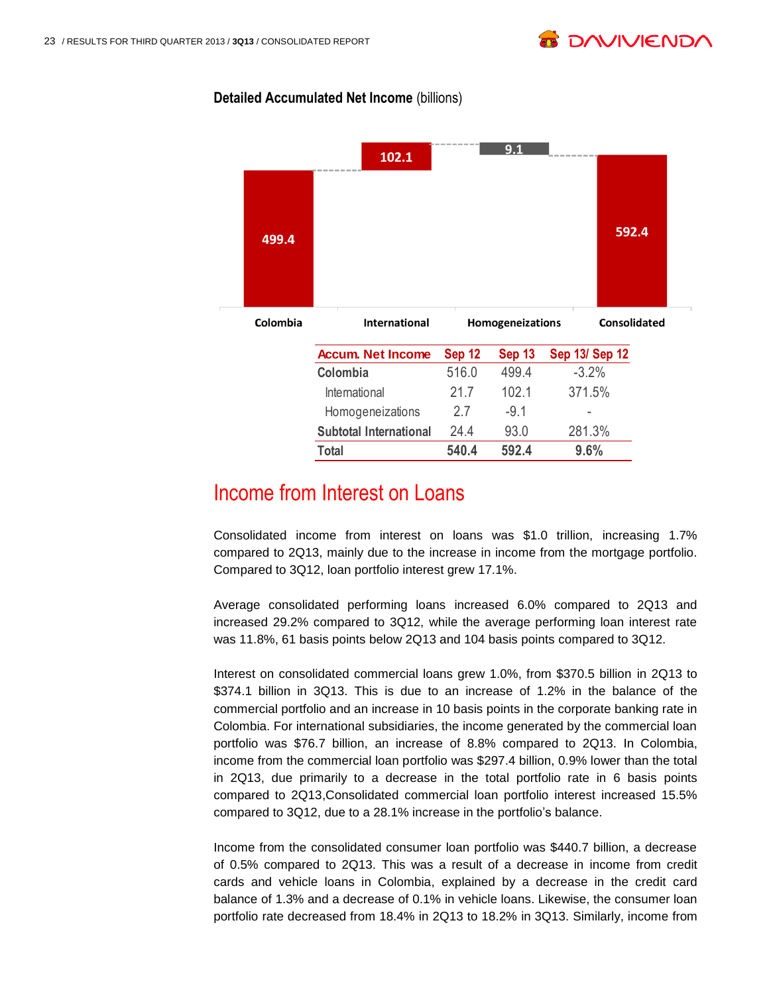

#### **Detailed Accumulated Net Income** (billions)



### Income from Interest on Loans

Consolidated income from interest on loans was \$1.0 trillion, increasing 1.7% compared to 2Q13, mainly due to the increase in income from the mortgage portfolio. Compared to 3Q12, loan portfolio interest grew 17.1%.

Average consolidated performing loans increased 6.0% compared to 2Q13 and increased 29.2% compared to 3Q12, while the average performing loan interest rate was 11.8%, 61 basis points below 2Q13 and 104 basis points compared to 3Q12.

Interest on consolidated commercial loans grew 1.0%, from \$370.5 billion in 2Q13 to \$374.1 billion in 3Q13. This is due to an increase of 1.2% in the balance of the commercial portfolio and an increase in 10 basis points in the corporate banking rate in Colombia. For international subsidiaries, the income generated by the commercial loan portfolio was \$76.7 billion, an increase of 8.8% compared to 2Q13. In Colombia, income from the commercial loan portfolio was \$297.4 billion, 0.9% lower than the total in 2Q13, due primarily to a decrease in the total portfolio rate in 6 basis points compared to 2Q13,Consolidated commercial loan portfolio interest increased 15.5% compared to 3Q12, due to a 28.1% increase in the portfolio's balance.

Income from the consolidated consumer loan portfolio was \$440.7 billion, a decrease of 0.5% compared to 2Q13. This was a result of a decrease in income from credit cards and vehicle loans in Colombia, explained by a decrease in the credit card balance of 1.3% and a decrease of 0.1% in vehicle loans. Likewise, the consumer loan portfolio rate decreased from 18.4% in 2Q13 to 18.2% in 3Q13. Similarly, income from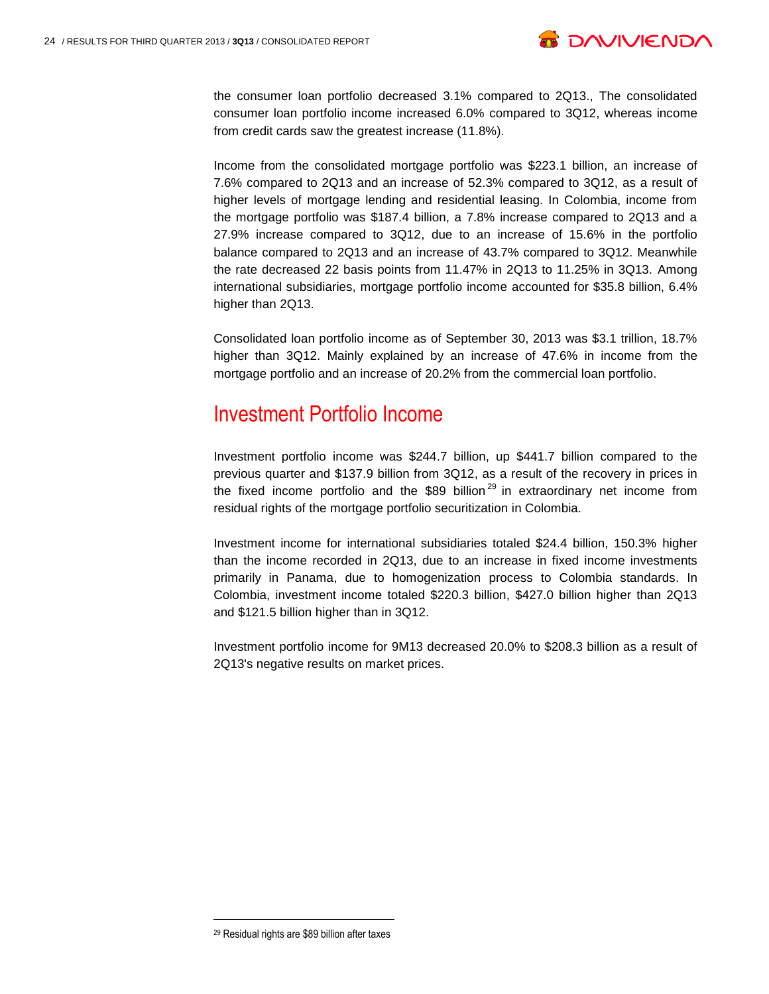

the consumer loan portfolio decreased 3.1% compared to 2Q13., The consolidated consumer loan portfolio income increased 6.0% compared to 3Q12, whereas income from credit cards saw the greatest increase (11.8%).

Income from the consolidated mortgage portfolio was \$223.1 billion, an increase of 7.6% compared to 2Q13 and an increase of 52.3% compared to 3Q12, as a result of higher levels of mortgage lending and residential leasing. In Colombia, income from the mortgage portfolio was \$187.4 billion, a 7.8% increase compared to 2Q13 and a 27.9% increase compared to 3Q12, due to an increase of 15.6% in the portfolio balance compared to 2Q13 and an increase of 43.7% compared to 3Q12. Meanwhile the rate decreased 22 basis points from 11.47% in 2Q13 to 11.25% in 3Q13. Among international subsidiaries, mortgage portfolio income accounted for \$35.8 billion, 6.4% higher than 2Q13.

Consolidated loan portfolio income as of September 30, 2013 was \$3.1 trillion, 18.7% higher than 3Q12. Mainly explained by an increase of 47.6% in income from the mortgage portfolio and an increase of 20.2% from the commercial loan portfolio.

### Investment Portfolio Income

Investment portfolio income was \$244.7 billion, up \$441.7 billion compared to the previous quarter and \$137.9 billion from 3Q12, as a result of the recovery in prices in the fixed income portfolio and the  $$89$  billion<sup>29</sup> in extraordinary net income from residual rights of the mortgage portfolio securitization in Colombia.

Investment income for international subsidiaries totaled \$24.4 billion, 150.3% higher than the income recorded in 2Q13, due to an increase in fixed income investments primarily in Panama, due to homogenization process to Colombia standards. In Colombia, investment income totaled \$220.3 billion, \$427.0 billion higher than 2Q13 and \$121.5 billion higher than in 3Q12.

Investment portfolio income for 9M13 decreased 20.0% to \$208.3 billion as a result of 2Q13's negative results on market prices.

<sup>29</sup> Residual rights are \$89 billion after taxes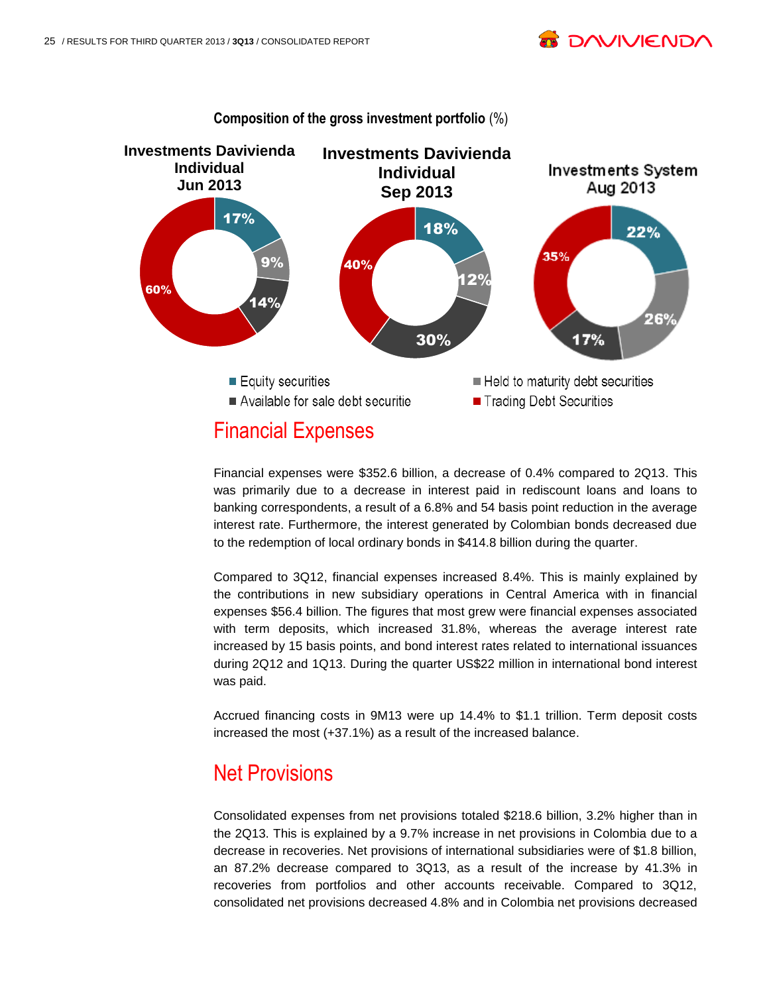



Financial expenses were \$352.6 billion, a decrease of 0.4% compared to 2Q13. This was primarily due to a decrease in interest paid in rediscount loans and loans to banking correspondents, a result of a 6.8% and 54 basis point reduction in the average interest rate. Furthermore, the interest generated by Colombian bonds decreased due to the redemption of local ordinary bonds in \$414.8 billion during the quarter.

Compared to 3Q12, financial expenses increased 8.4%. This is mainly explained by the contributions in new subsidiary operations in Central America with in financial expenses \$56.4 billion. The figures that most grew were financial expenses associated with term deposits, which increased 31.8%, whereas the average interest rate increased by 15 basis points, and bond interest rates related to international issuances during 2Q12 and 1Q13. During the quarter US\$22 million in international bond interest was paid.

Accrued financing costs in 9M13 were up 14.4% to \$1.1 trillion. Term deposit costs increased the most (+37.1%) as a result of the increased balance.

### Net Provisions

Consolidated expenses from net provisions totaled \$218.6 billion, 3.2% higher than in the 2Q13. This is explained by a 9.7% increase in net provisions in Colombia due to a decrease in recoveries. Net provisions of international subsidiaries were of \$1.8 billion, an 87.2% decrease compared to 3Q13, as a result of the increase by 41.3% in recoveries from portfolios and other accounts receivable. Compared to 3Q12, consolidated net provisions decreased 4.8% and in Colombia net provisions decreased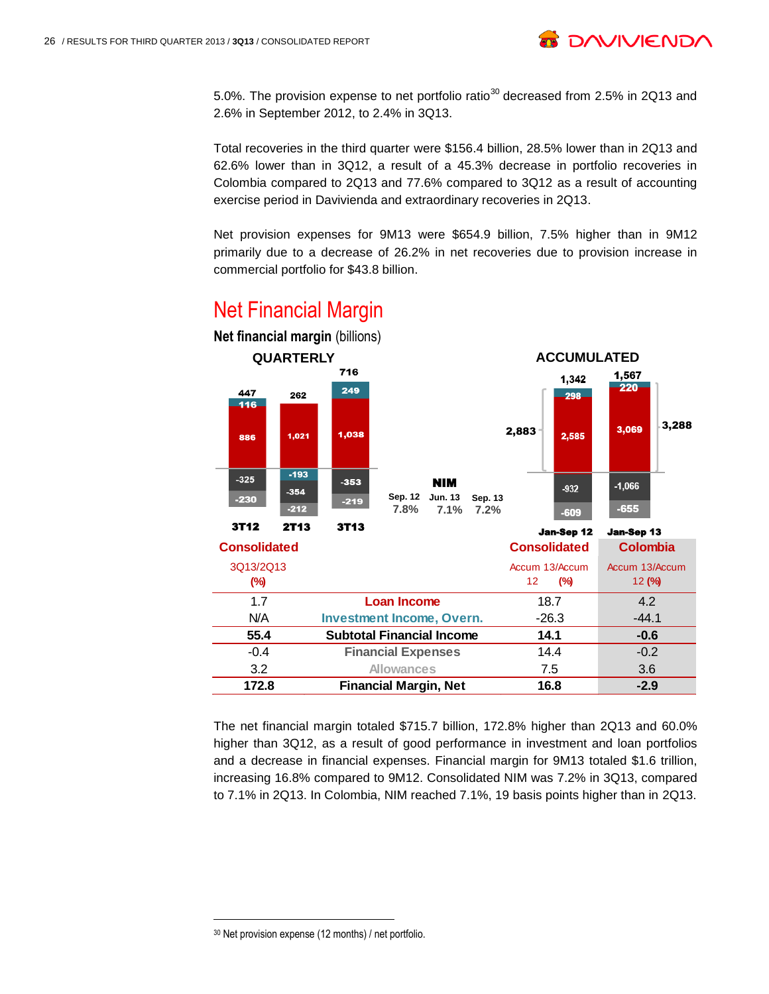

5.0%. The provision expense to net portfolio ratio<sup>30</sup> decreased from 2.5% in 2Q13 and 2.6% in September 2012, to 2.4% in 3Q13.

Total recoveries in the third quarter were \$156.4 billion, 28.5% lower than in 2Q13 and 62.6% lower than in 3Q12, a result of a 45.3% decrease in portfolio recoveries in Colombia compared to 2Q13 and 77.6% compared to 3Q12 as a result of accounting exercise period in Davivienda and extraordinary recoveries in 2Q13.

Net provision expenses for 9M13 were \$654.9 billion, 7.5% higher than in 9M12 primarily due to a decrease of 26.2% in net recoveries due to provision increase in commercial portfolio for \$43.8 billion.



## Net Financial Margin

The net financial margin totaled \$715.7 billion, 172.8% higher than 2Q13 and 60.0% higher than 3Q12, as a result of good performance in investment and loan portfolios and a decrease in financial expenses. Financial margin for 9M13 totaled \$1.6 trillion, increasing 16.8% compared to 9M12. Consolidated NIM was 7.2% in 3Q13, compared to 7.1% in 2Q13. In Colombia, NIM reached 7.1%, 19 basis points higher than in 2Q13.

<sup>30</sup> Net provision expense (12 months) / net portfolio.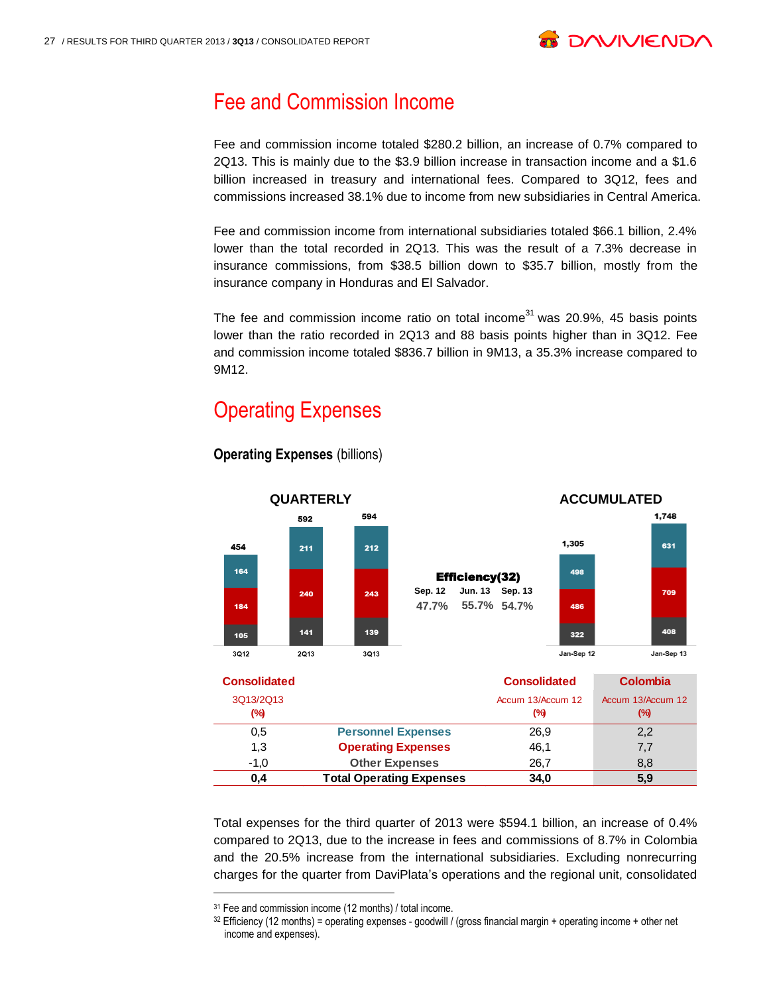

### Fee and Commission Income

Fee and commission income totaled \$280.2 billion, an increase of 0.7% compared to 2Q13. This is mainly due to the \$3.9 billion increase in transaction income and a \$1.6 billion increased in treasury and international fees. Compared to 3Q12, fees and commissions increased 38.1% due to income from new subsidiaries in Central America.

Fee and commission income from international subsidiaries totaled \$66.1 billion, 2.4% lower than the total recorded in 2Q13. This was the result of a 7.3% decrease in insurance commissions, from \$38.5 billion down to \$35.7 billion, mostly from the insurance company in Honduras and El Salvador.

The fee and commission income ratio on total income $^{31}$  was 20.9%, 45 basis points lower than the ratio recorded in 2Q13 and 88 basis points higher than in 3Q12. Fee and commission income totaled \$836.7 billion in 9M13, a 35.3% increase compared to 9M12.

## Operating Expenses



**Operating Expenses (billions)** 

Total expenses for the third quarter of 2013 were \$594.1 billion, an increase of 0.4% compared to 2Q13, due to the increase in fees and commissions of 8.7% in Colombia and the 20.5% increase from the international subsidiaries. Excluding nonrecurring charges for the quarter from DaviPlata's operations and the regional unit, consolidated

<sup>31</sup> Fee and commission income (12 months) / total income.

 $32$  Efficiency (12 months) = operating expenses - goodwill / (gross financial margin + operating income + other net income and expenses).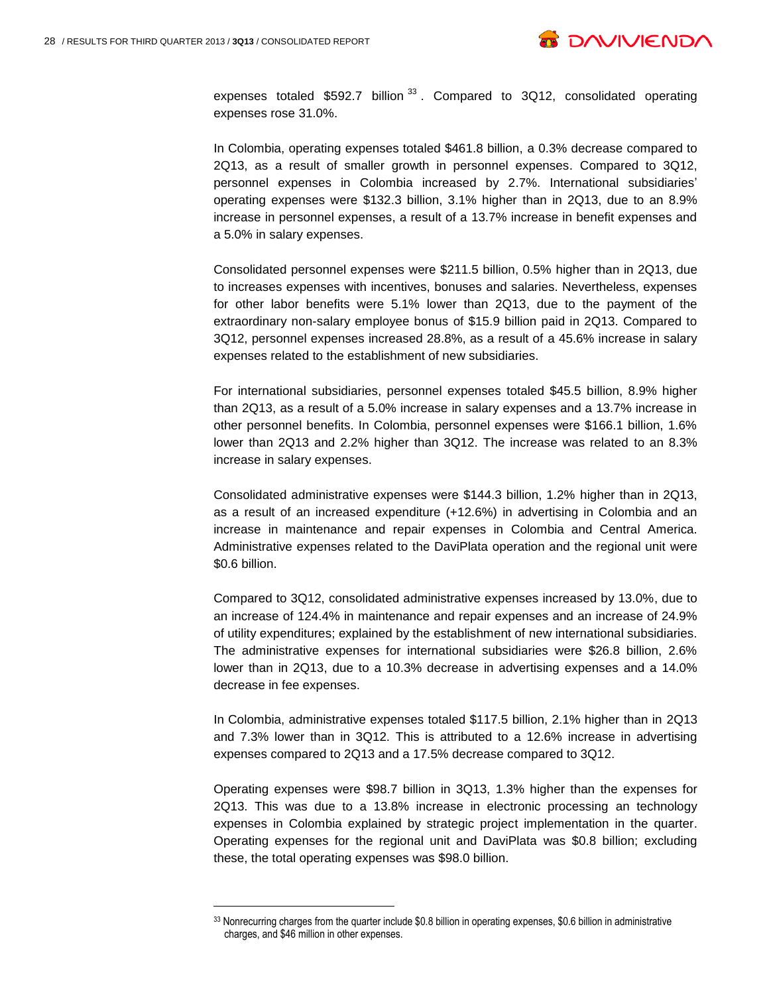l



expenses totaled  $$592.7$  billion  $^{33}$ . Compared to 3Q12, consolidated operating expenses rose 31.0%.

In Colombia, operating expenses totaled \$461.8 billion, a 0.3% decrease compared to 2Q13, as a result of smaller growth in personnel expenses. Compared to 3Q12, personnel expenses in Colombia increased by 2.7%. International subsidiaries' operating expenses were \$132.3 billion, 3.1% higher than in 2Q13, due to an 8.9% increase in personnel expenses, a result of a 13.7% increase in benefit expenses and a 5.0% in salary expenses.

Consolidated personnel expenses were \$211.5 billion, 0.5% higher than in 2Q13, due to increases expenses with incentives, bonuses and salaries. Nevertheless, expenses for other labor benefits were 5.1% lower than 2Q13, due to the payment of the extraordinary non-salary employee bonus of \$15.9 billion paid in 2Q13. Compared to 3Q12, personnel expenses increased 28.8%, as a result of a 45.6% increase in salary expenses related to the establishment of new subsidiaries.

For international subsidiaries, personnel expenses totaled \$45.5 billion, 8.9% higher than 2Q13, as a result of a 5.0% increase in salary expenses and a 13.7% increase in other personnel benefits. In Colombia, personnel expenses were \$166.1 billion, 1.6% lower than 2Q13 and 2.2% higher than 3Q12. The increase was related to an 8.3% increase in salary expenses.

Consolidated administrative expenses were \$144.3 billion, 1.2% higher than in 2Q13, as a result of an increased expenditure (+12.6%) in advertising in Colombia and an increase in maintenance and repair expenses in Colombia and Central America. Administrative expenses related to the DaviPlata operation and the regional unit were \$0.6 billion.

Compared to 3Q12, consolidated administrative expenses increased by 13.0%, due to an increase of 124.4% in maintenance and repair expenses and an increase of 24.9% of utility expenditures; explained by the establishment of new international subsidiaries. The administrative expenses for international subsidiaries were \$26.8 billion, 2.6% lower than in 2Q13, due to a 10.3% decrease in advertising expenses and a 14.0% decrease in fee expenses.

In Colombia, administrative expenses totaled \$117.5 billion, 2.1% higher than in 2Q13 and 7.3% lower than in 3Q12. This is attributed to a 12.6% increase in advertising expenses compared to 2Q13 and a 17.5% decrease compared to 3Q12.

Operating expenses were \$98.7 billion in 3Q13, 1.3% higher than the expenses for 2Q13. This was due to a 13.8% increase in electronic processing an technology expenses in Colombia explained by strategic project implementation in the quarter. Operating expenses for the regional unit and DaviPlata was \$0.8 billion; excluding these, the total operating expenses was \$98.0 billion.

<sup>33</sup> Nonrecurring charges from the quarter include \$0.8 billion in operating expenses, \$0.6 billion in administrative charges, and \$46 million in other expenses.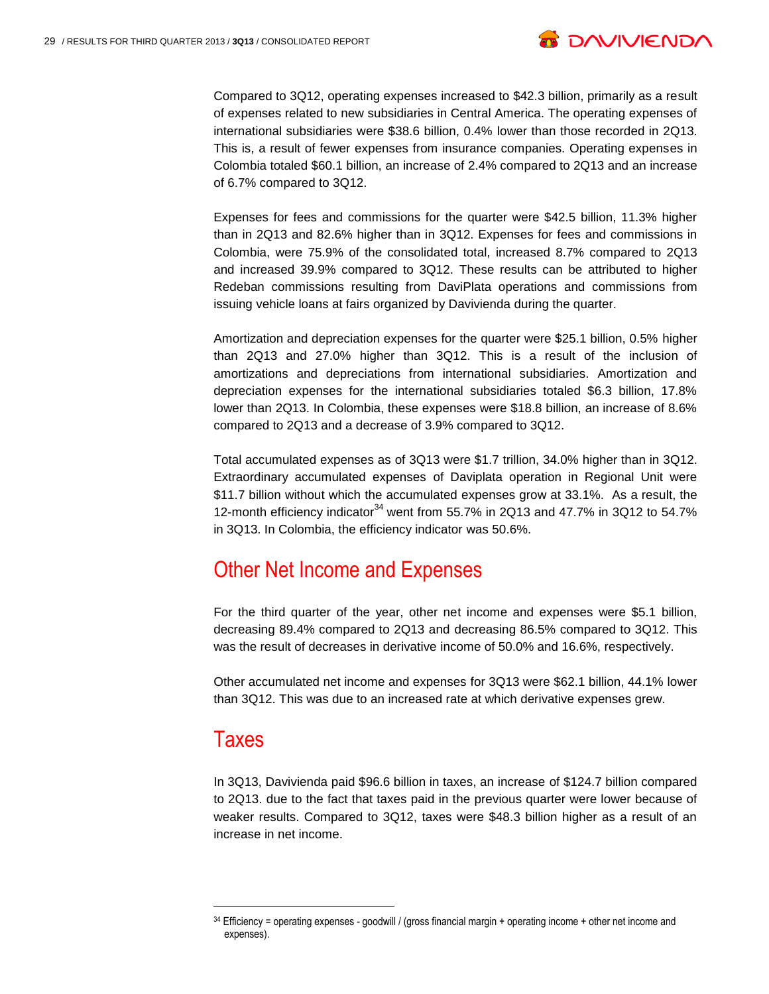

Compared to 3Q12, operating expenses increased to \$42.3 billion, primarily as a result of expenses related to new subsidiaries in Central America. The operating expenses of international subsidiaries were \$38.6 billion, 0.4% lower than those recorded in 2Q13. This is, a result of fewer expenses from insurance companies. Operating expenses in Colombia totaled \$60.1 billion, an increase of 2.4% compared to 2Q13 and an increase of 6.7% compared to 3Q12.

Expenses for fees and commissions for the quarter were \$42.5 billion, 11.3% higher than in 2Q13 and 82.6% higher than in 3Q12. Expenses for fees and commissions in Colombia, were 75.9% of the consolidated total, increased 8.7% compared to 2Q13 and increased 39.9% compared to 3Q12. These results can be attributed to higher Redeban commissions resulting from DaviPlata operations and commissions from issuing vehicle loans at fairs organized by Davivienda during the quarter.

Amortization and depreciation expenses for the quarter were \$25.1 billion, 0.5% higher than 2Q13 and 27.0% higher than 3Q12. This is a result of the inclusion of amortizations and depreciations from international subsidiaries. Amortization and depreciation expenses for the international subsidiaries totaled \$6.3 billion, 17.8% lower than 2Q13. In Colombia, these expenses were \$18.8 billion, an increase of 8.6% compared to 2Q13 and a decrease of 3.9% compared to 3Q12.

Total accumulated expenses as of 3Q13 were \$1.7 trillion, 34.0% higher than in 3Q12. Extraordinary accumulated expenses of Daviplata operation in Regional Unit were \$11.7 billion without which the accumulated expenses grow at 33.1%. As a result, the 12-month efficiency indicator<sup>34</sup> went from 55.7% in 2Q13 and 47.7% in 3Q12 to 54.7% in 3Q13. In Colombia, the efficiency indicator was 50.6%.

# Other Net Income and Expenses

For the third quarter of the year, other net income and expenses were \$5.1 billion, decreasing 89.4% compared to 2Q13 and decreasing 86.5% compared to 3Q12. This was the result of decreases in derivative income of 50.0% and 16.6%, respectively.

Other accumulated net income and expenses for 3Q13 were \$62.1 billion, 44.1% lower than 3Q12. This was due to an increased rate at which derivative expenses grew.

### Taxes

l

In 3Q13, Davivienda paid \$96.6 billion in taxes, an increase of \$124.7 billion compared to 2Q13. due to the fact that taxes paid in the previous quarter were lower because of weaker results. Compared to 3Q12, taxes were \$48.3 billion higher as a result of an increase in net income.

<sup>34</sup> Efficiency = operating expenses - goodwill / (gross financial margin + operating income + other net income and expenses).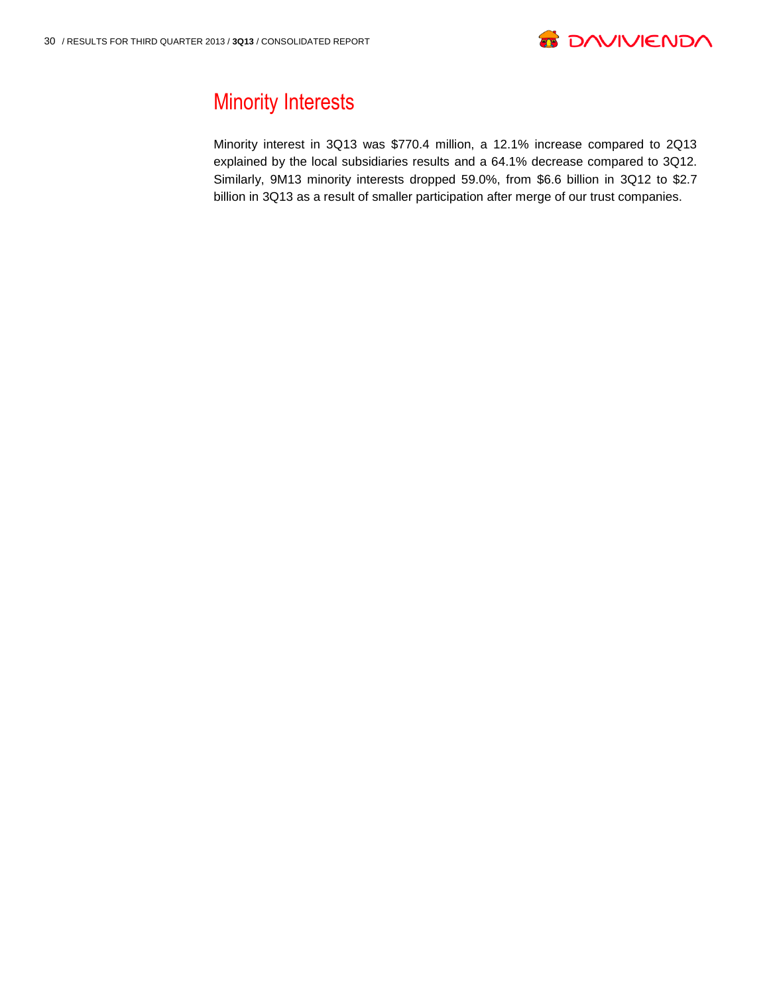

# Minority Interests

Minority interest in 3Q13 was \$770.4 million, a 12.1% increase compared to 2Q13 explained by the local subsidiaries results and a 64.1% decrease compared to 3Q12. Similarly, 9M13 minority interests dropped 59.0%, from \$6.6 billion in 3Q12 to \$2.7 billion in 3Q13 as a result of smaller participation after merge of our trust companies.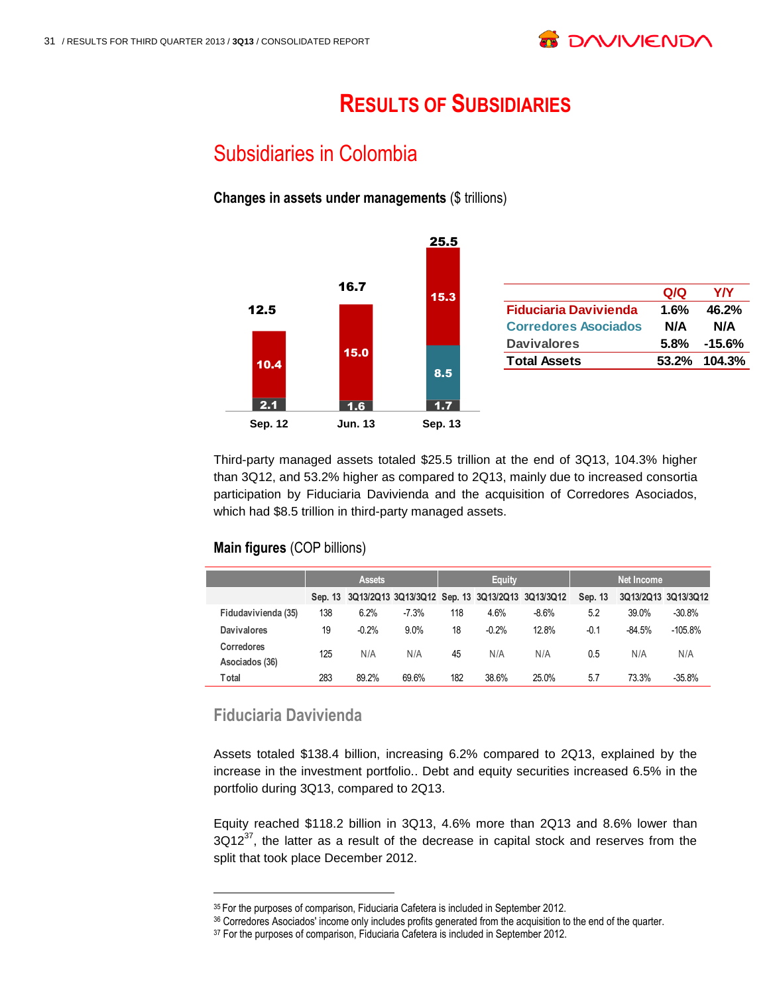# **RESULTS OF SUBSIDIARIES**

# Subsidiaries in Colombia

**Changes in assets under managements** (\$ trillions)



Third-party managed assets totaled \$25.5 trillion at the end of 3Q13, 104.3% higher than 3Q12, and 53.2% higher as compared to 2Q13, mainly due to increased consortia participation by Fiduciaria Davivienda and the acquisition of Corredores Asociados, which had \$8.5 trillion in third-party managed assets.

#### **Main figures** (COP billions)

|                                     |     | <b>Assets</b> |         |     | Equity  |                                                         | <b>Net Income</b> |          |                     |  |
|-------------------------------------|-----|---------------|---------|-----|---------|---------------------------------------------------------|-------------------|----------|---------------------|--|
|                                     |     |               |         |     |         | Sep. 13 3Q13/2Q13 3Q13/3Q12 Sep. 13 3Q13/2Q13 3Q13/3Q12 | Sep. 13           |          | 3Q13/2Q13 3Q13/3Q12 |  |
| Fidudavivienda (35)                 | 138 | 6.2%          | $-7.3%$ | 118 | 4.6%    | $-8.6%$                                                 | 5.2               | 39.0%    | $-30.8%$            |  |
| <b>Davivalores</b>                  | 19  | $-0.2%$       | 9.0%    | 18  | $-0.2%$ | 12.8%                                                   | $-0.1$            | $-84.5%$ | $-105.8%$           |  |
| <b>Corredores</b><br>Asociados (36) | 125 | N/A           | N/A     | 45  | N/A     | N/A                                                     | 0.5               | N/A      | N/A                 |  |
| Total                               | 283 | 89.2%         | 69.6%   | 182 | 38.6%   | 25.0%                                                   | 5.7               | 73.3%    | $-35.8%$            |  |

### **Fiduciaria Davivienda**

l

Assets totaled \$138.4 billion, increasing 6.2% compared to 2Q13, explained by the increase in the investment portfolio.. Debt and equity securities increased 6.5% in the portfolio during 3Q13, compared to 2Q13.

Equity reached \$118.2 billion in 3Q13, 4.6% more than 2Q13 and 8.6% lower than  $3Q12^{37}$ , the latter as a result of the decrease in capital stock and reserves from the split that took place December 2012.

<sup>&</sup>lt;sup>35</sup> For the purposes of comparison, Fiduciaria Cafetera is included in September 2012.

<sup>36</sup> Corredores Asociados' income only includes profits generated from the acquisition to the end of the quarter.

<sup>&</sup>lt;sup>37</sup> For the purposes of comparison, Fiduciaria Cafetera is included in September 2012.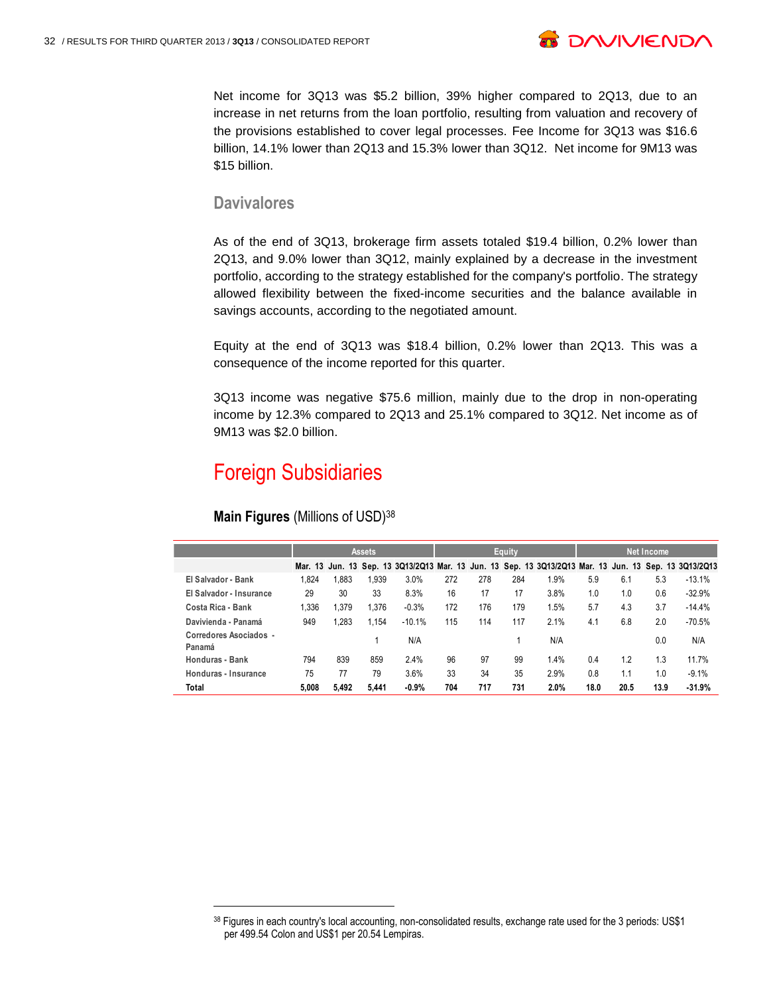

Net income for 3Q13 was \$5.2 billion, 39% higher compared to 2Q13, due to an increase in net returns from the loan portfolio, resulting from valuation and recovery of the provisions established to cover legal processes. Fee Income for 3Q13 was \$16.6 billion, 14.1% lower than 2Q13 and 15.3% lower than 3Q12. Net income for 9M13 was \$15 billion.

#### **Davivalores**

As of the end of 3Q13, brokerage firm assets totaled \$19.4 billion, 0.2% lower than 2Q13, and 9.0% lower than 3Q12, mainly explained by a decrease in the investment portfolio, according to the strategy established for the company's portfolio. The strategy allowed flexibility between the fixed-income securities and the balance available in savings accounts, according to the negotiated amount.

Equity at the end of 3Q13 was \$18.4 billion, 0.2% lower than 2Q13. This was a consequence of the income reported for this quarter.

3Q13 income was negative \$75.6 million, mainly due to the drop in non-operating income by 12.3% compared to 2Q13 and 25.1% compared to 3Q12. Net income as of 9M13 was \$2.0 billion.

### Foreign Subsidiaries

|                                  | <b>Assets</b> |       |       |          | Equity |     |     |                                                                                                       | <b>Net Income</b> |      |      |          |
|----------------------------------|---------------|-------|-------|----------|--------|-----|-----|-------------------------------------------------------------------------------------------------------|-------------------|------|------|----------|
|                                  |               |       |       |          |        |     |     | Mar. 13 Jun. 13 Sep. 13 3Q13/2Q13 Mar. 13 Jun. 13 Sep. 13 3Q13/2Q13 Mar. 13 Jun. 13 Sep. 13 3Q13/2Q13 |                   |      |      |          |
| El Salvador - Bank               | 1.824         | 1,883 | 1.939 | 3.0%     | 272    | 278 | 284 | 1.9%                                                                                                  | 5.9               | 6.1  | 5.3  | $-13.1%$ |
| El Salvador - Insurance          | 29            | 30    | 33    | 8.3%     | 16     | 17  | 17  | 3.8%                                                                                                  | 1.0               | 1.0  | 0.6  | $-32.9%$ |
| Costa Rica - Bank                | 1.336         | 1.379 | 1.376 | $-0.3%$  | 172    | 176 | 179 | 1.5%                                                                                                  | 5.7               | 4.3  | 3.7  | $-14.4%$ |
| Davivienda - Panamá              | 949           | 1,283 | 1.154 | $-10.1%$ | 115    | 114 | 117 | 2.1%                                                                                                  | 4.1               | 6.8  | 2.0  | $-70.5%$ |
| Corredores Asociados -<br>Panamá |               |       |       | N/A      |        |     |     | N/A                                                                                                   |                   |      | 0.0  | N/A      |
| Honduras - Bank                  | 794           | 839   | 859   | 2.4%     | 96     | 97  | 99  | 1.4%                                                                                                  | 0.4               | 1.2  | 1.3  | 11.7%    |
| Honduras - Insurance             | 75            | 77    | 79    | 3.6%     | 33     | 34  | 35  | 2.9%                                                                                                  | 0.8               | 1.1  | 1.0  | $-9.1%$  |
| Total                            | 5.008         | 5,492 | 5.441 | $-0.9%$  | 704    | 717 | 731 | 2.0%                                                                                                  | 18.0              | 20.5 | 13.9 | $-31.9%$ |

#### **Main Figures** (Millions of USD)<sup>38</sup>

<sup>38</sup> Figures in each country's local accounting, non-consolidated results, exchange rate used for the 3 periods: US\$1 per 499.54 Colon and US\$1 per 20.54 Lempiras.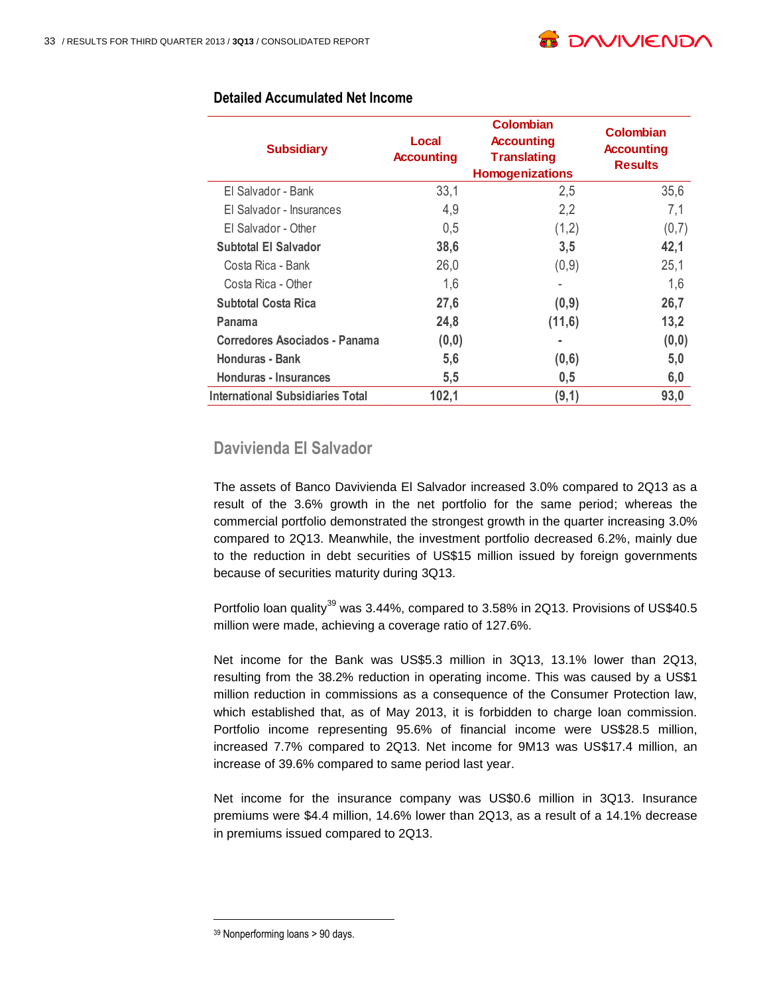

| <b>Subsidiary</b>                       | Local<br><b>Accounting</b> | Colombian<br><b>Accounting</b><br><b>Translating</b><br><b>Homogenizations</b> | Colombian<br><b>Accounting</b><br><b>Results</b> |
|-----------------------------------------|----------------------------|--------------------------------------------------------------------------------|--------------------------------------------------|
| El Salvador - Bank                      | 33,1                       | 2,5                                                                            | 35,6                                             |
| El Salvador - Insurances                | 4,9                        | 2,2                                                                            | 7,1                                              |
| El Salvador - Other                     | 0,5                        | (1,2)                                                                          | (0,7)                                            |
| <b>Subtotal El Salvador</b>             | 38,6                       | 3,5                                                                            | 42,1                                             |
| Costa Rica - Bank                       | 26,0                       | (0,9)                                                                          | 25,1                                             |
| Costa Rica - Other                      | 1,6                        |                                                                                | 1,6                                              |
| <b>Subtotal Costa Rica</b>              | 27,6                       | (0,9)                                                                          | 26,7                                             |
| Panama                                  | 24,8                       | (11,6)                                                                         | 13,2                                             |
| Corredores Asociados - Panama           | (0, 0)                     |                                                                                | (0, 0)                                           |
| Honduras - Bank                         | 5,6                        | (0,6)                                                                          | 5,0                                              |
| Honduras - Insurances                   | 5,5                        | 0,5                                                                            | 6,0                                              |
| <b>International Subsidiaries Total</b> | 102,1                      | (9,1)                                                                          | 93,0                                             |

#### **Detailed Accumulated Net Income**

### **Davivienda El Salvador**

The assets of Banco Davivienda El Salvador increased 3.0% compared to 2Q13 as a result of the 3.6% growth in the net portfolio for the same period; whereas the commercial portfolio demonstrated the strongest growth in the quarter increasing 3.0% compared to 2Q13. Meanwhile, the investment portfolio decreased 6.2%, mainly due to the reduction in debt securities of US\$15 million issued by foreign governments because of securities maturity during 3Q13.

Portfolio loan quality<sup>39</sup> was 3.44%, compared to 3.58% in 2Q13. Provisions of US\$40.5 million were made, achieving a coverage ratio of 127.6%.

Net income for the Bank was US\$5.3 million in 3Q13, 13.1% lower than 2Q13, resulting from the 38.2% reduction in operating income. This was caused by a US\$1 million reduction in commissions as a consequence of the Consumer Protection law, which established that, as of May 2013, it is forbidden to charge loan commission. Portfolio income representing 95.6% of financial income were US\$28.5 million, increased 7.7% compared to 2Q13. Net income for 9M13 was US\$17.4 million, an increase of 39.6% compared to same period last year.

Net income for the insurance company was US\$0.6 million in 3Q13. Insurance premiums were \$4.4 million, 14.6% lower than 2Q13, as a result of a 14.1% decrease in premiums issued compared to 2Q13.

<sup>39</sup> Nonperforming loans > 90 days.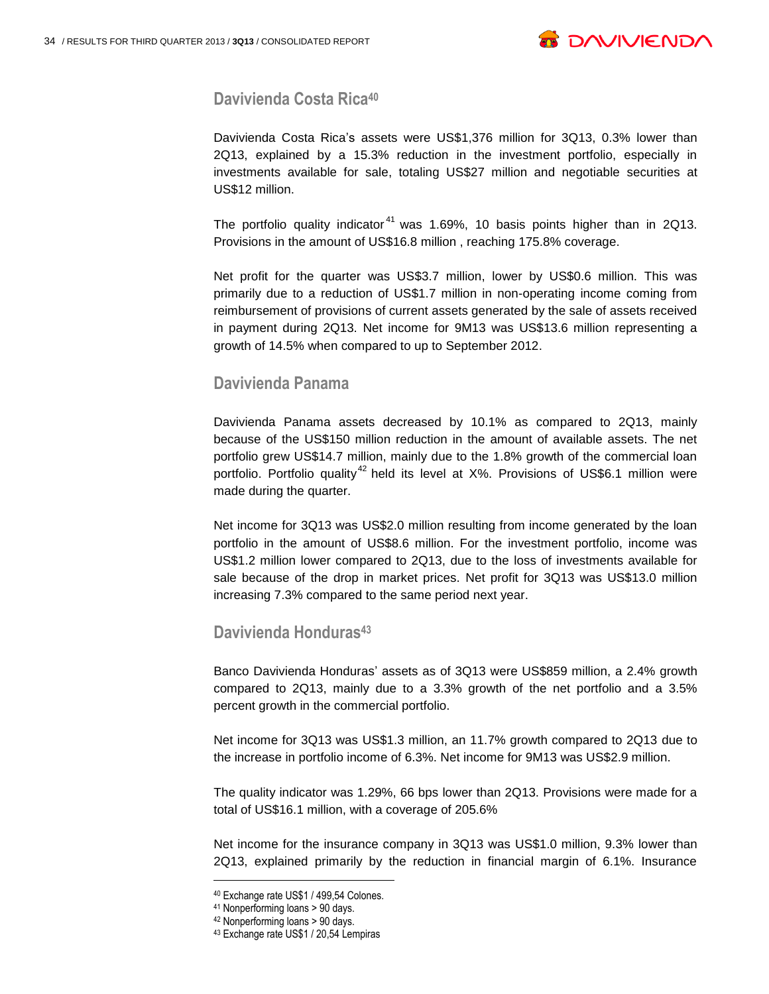

#### **Davivienda Costa Rica<sup>40</sup>**

Davivienda Costa Rica's assets were US\$1,376 million for 3Q13, 0.3% lower than 2Q13, explained by a 15.3% reduction in the investment portfolio, especially in investments available for sale, totaling US\$27 million and negotiable securities at US\$12 million.

The portfolio quality indicator<sup>41</sup> was 1.69%, 10 basis points higher than in 2Q13. Provisions in the amount of US\$16.8 million , reaching 175.8% coverage.

Net profit for the quarter was US\$3.7 million, lower by US\$0.6 million. This was primarily due to a reduction of US\$1.7 million in non-operating income coming from reimbursement of provisions of current assets generated by the sale of assets received in payment during 2Q13. Net income for 9M13 was US\$13.6 million representing a growth of 14.5% when compared to up to September 2012.

#### **Davivienda Panama**

Davivienda Panama assets decreased by 10.1% as compared to 2Q13, mainly because of the US\$150 million reduction in the amount of available assets. The net portfolio grew US\$14.7 million, mainly due to the 1.8% growth of the commercial loan portfolio. Portfolio quality<sup>42</sup> held its level at  $X\%$ . Provisions of US\$6.1 million were made during the quarter.

Net income for 3Q13 was US\$2.0 million resulting from income generated by the loan portfolio in the amount of US\$8.6 million. For the investment portfolio, income was US\$1.2 million lower compared to 2Q13, due to the loss of investments available for sale because of the drop in market prices. Net profit for 3Q13 was US\$13.0 million increasing 7.3% compared to the same period next year.

#### **Davivienda Honduras<sup>43</sup>**

Banco Davivienda Honduras' assets as of 3Q13 were US\$859 million, a 2.4% growth compared to 2Q13, mainly due to a 3.3% growth of the net portfolio and a 3.5% percent growth in the commercial portfolio.

Net income for 3Q13 was US\$1.3 million, an 11.7% growth compared to 2Q13 due to the increase in portfolio income of 6.3%. Net income for 9M13 was US\$2.9 million.

The quality indicator was 1.29%, 66 bps lower than 2Q13. Provisions were made for a total of US\$16.1 million, with a coverage of 205.6%

Net income for the insurance company in 3Q13 was US\$1.0 million, 9.3% lower than 2Q13, explained primarily by the reduction in financial margin of 6.1%. Insurance

<sup>40</sup> Exchange rate US\$1 / 499,54 Colones.

<sup>41</sup> Nonperforming loans > 90 days.

<sup>42</sup> Nonperforming loans > 90 days.

<sup>43</sup> Exchange rate US\$1 / 20,54 Lempiras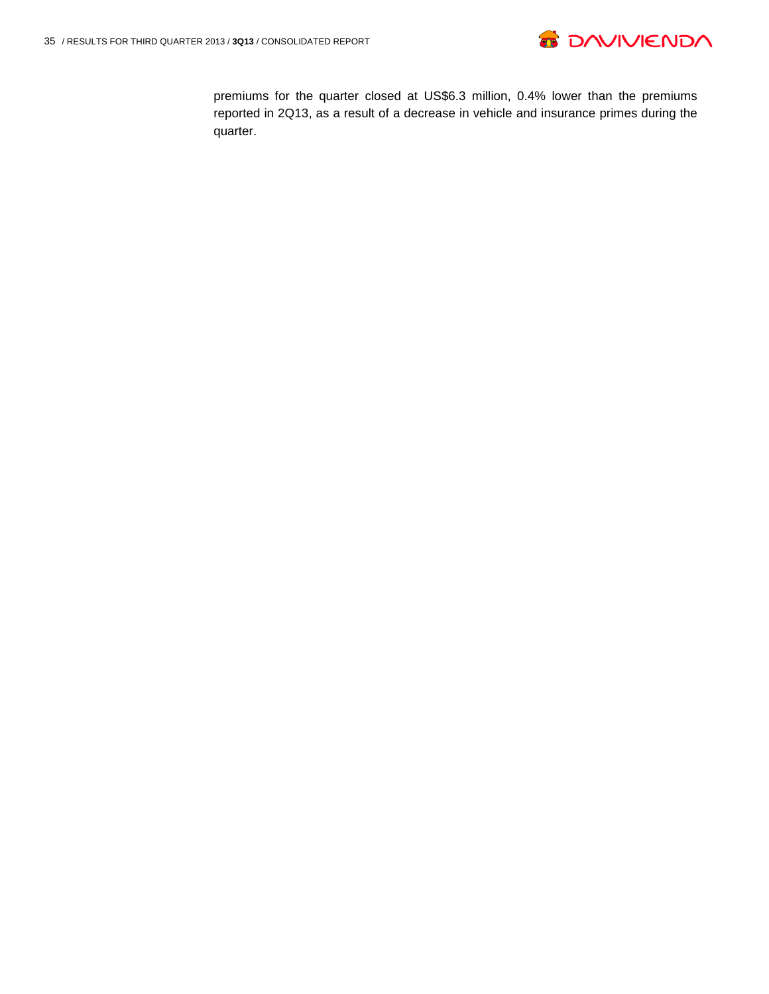

premiums for the quarter closed at US\$6.3 million, 0.4% lower than the premiums reported in 2Q13, as a result of a decrease in vehicle and insurance primes during the quarter.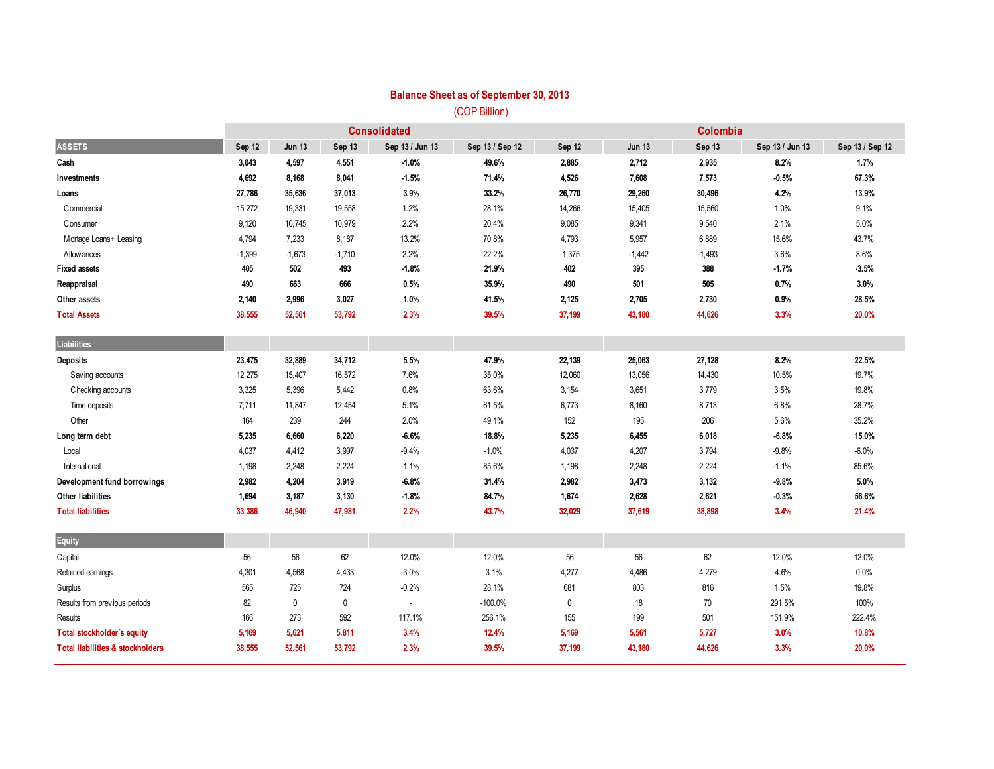|                                             |          |               |          |                          | <b>Balance Sheet as of September 30, 2013</b> |             |               |          |                 |                 |
|---------------------------------------------|----------|---------------|----------|--------------------------|-----------------------------------------------|-------------|---------------|----------|-----------------|-----------------|
|                                             |          |               |          |                          | (COP Billion)                                 |             |               |          |                 |                 |
|                                             |          |               |          | <b>Consolidated</b>      |                                               |             |               |          |                 |                 |
| <b>ASSETS</b>                               | Sep 12   | <b>Jun 13</b> | Sep 13   | Sep 13 / Jun 13          | Sep 13 / Sep 12                               | Sep 12      | <b>Jun 13</b> | Sep 13   | Sep 13 / Jun 13 | Sep 13 / Sep 12 |
| Cash                                        | 3,043    | 4,597         | 4,551    | $-1.0%$                  | 49.6%                                         | 2,885       | 2,712         | 2,935    | 8.2%            | 1.7%            |
| Investments                                 | 4,692    | 8,168         | 8,041    | $-1.5%$                  | 71.4%                                         | 4,526       | 7,608         | 7,573    | $-0.5%$         | 67.3%           |
| Loans                                       | 27,786   | 35,636        | 37,013   | 3.9%                     | 33.2%                                         | 26,770      | 29,260        | 30,496   | 4.2%            | 13.9%           |
| Commercial                                  | 15,272   | 19,331        | 19,558   | 1.2%                     | 28.1%                                         | 14,266      | 15,405        | 15,560   | 1.0%            | 9.1%            |
| Consumer                                    | 9,120    | 10,745        | 10,979   | 2.2%                     | 20.4%                                         | 9,085       | 9,341         | 9,540    | 2.1%            | 5.0%            |
| Mortage Loans+ Leasing                      | 4,794    | 7,233         | 8,187    | 13.2%                    | 70.8%                                         | 4,793       | 5,957         | 6,889    | 15.6%           | 43.7%           |
| Allowances                                  | $-1,399$ | $-1,673$      | $-1,710$ | 2.2%                     | 22.2%                                         | $-1,375$    | $-1,442$      | $-1,493$ | 3.6%            | 8.6%            |
| <b>Fixed assets</b>                         | 405      | 502           | 493      | $-1.8%$                  | 21.9%                                         | 402         | 395           | 388      | $-1.7%$         | $-3.5%$         |
| Reappraisal                                 | 490      | 663           | 666      | 0.5%                     | 35.9%                                         | 490         | 501           | 505      | 0.7%            | 3.0%            |
| Other assets                                | 2,140    | 2,996         | 3,027    | 1.0%                     | 41.5%                                         | 2,125       | 2,705         | 2,730    | 0.9%            | 28.5%           |
| <b>Total Assets</b>                         | 38,555   | 52,561        | 53,792   | 2.3%                     | 39.5%                                         | 37,199      | 43,180        | 44,626   | 3.3%            | 20.0%           |
| Liabilities                                 |          |               |          |                          |                                               |             |               |          |                 |                 |
| <b>Deposits</b>                             | 23,475   | 32,889        | 34,712   | 5.5%                     | 47.9%                                         | 22,139      | 25,063        | 27,128   | 8.2%            | 22.5%           |
| Saving accounts                             | 12,275   | 15,407        | 16,572   | 7.6%                     | 35.0%                                         | 12,060      | 13,056        | 14,430   | 10.5%           | 19.7%           |
| Checking accounts                           | 3,325    | 5,396         | 5,442    | 0.8%                     | 63.6%                                         | 3,154       | 3,651         | 3,779    | 3.5%            | 19.8%           |
| Time deposits                               | 7,711    | 11,847        | 12,454   | 5.1%                     | 61.5%                                         | 6,773       | 8,160         | 8,713    | 6.8%            | 28.7%           |
| Other                                       | 164      | 239           | 244      | 2.0%                     | 49.1%                                         | 152         | 195           | 206      | 5.6%            | 35.2%           |
| Long term debt                              | 5,235    | 6,660         | 6,220    | $-6.6%$                  | 18.8%                                         | 5,235       | 6,455         | 6,018    | $-6.8%$         | 15.0%           |
| Local                                       | 4,037    | 4,412         | 3,997    | $-9.4%$                  | $-1.0%$                                       | 4,037       | 4,207         | 3,794    | $-9.8%$         | $-6.0%$         |
| International                               | 1,198    | 2,248         | 2,224    | $-1.1%$                  | 85.6%                                         | 1,198       | 2,248         | 2,224    | $-1.1%$         | 85.6%           |
| Development fund borrowings                 | 2,982    | 4,204         | 3,919    | $-6.8%$                  | 31.4%                                         | 2,982       | 3,473         | 3,132    | $-9.8%$         | 5.0%            |
| Other liabilities                           | 1,694    | 3,187         | 3,130    | $-1.8%$                  | 84.7%                                         | 1,674       | 2,628         | 2,621    | $-0.3%$         | 56.6%           |
| <b>Total liabilities</b>                    | 33,386   | 46,940        | 47,981   | 2.2%                     | 43.7%                                         | 32,029      | 37,619        | 38,898   | 3.4%            | 21.4%           |
| Equity                                      |          |               |          |                          |                                               |             |               |          |                 |                 |
| Capital                                     | 56       | 56            | 62       | 12.0%                    | 12.0%                                         | 56          | 56            | 62       | 12.0%           | 12.0%           |
| Retained earnings                           | 4,301    | 4,568         | 4,433    | $-3.0%$                  | 3.1%                                          | 4,277       | 4,486         | 4,279    | $-4.6%$         | 0.0%            |
| Surplus                                     | 565      | 725           | 724      | $-0.2%$                  | 28.1%                                         | 681         | 803           | 816      | 1.5%            | 19.8%           |
| Results from previous periods               | 82       | $\mathbf 0$   | 0        | $\overline{\phantom{a}}$ | $-100.0%$                                     | $\mathbf 0$ | 18            | 70       | 291.5%          | 100%            |
| Results                                     | 166      | 273           | 592      | 117.1%                   | 256.1%                                        | 155         | 199           | 501      | 151.9%          | 222.4%          |
| Total stockholder's equity                  | 5,169    | 5,621         | 5,811    | 3.4%                     | 12.4%                                         | 5,169       | 5,561         | 5,727    | 3.0%            | 10.8%           |
| <b>Total liabilities &amp; stockholders</b> | 38,555   | 52,561        | 53,792   | 2.3%                     | 39.5%                                         | 37,199      | 43,180        | 44,626   | 3.3%            | 20.0%           |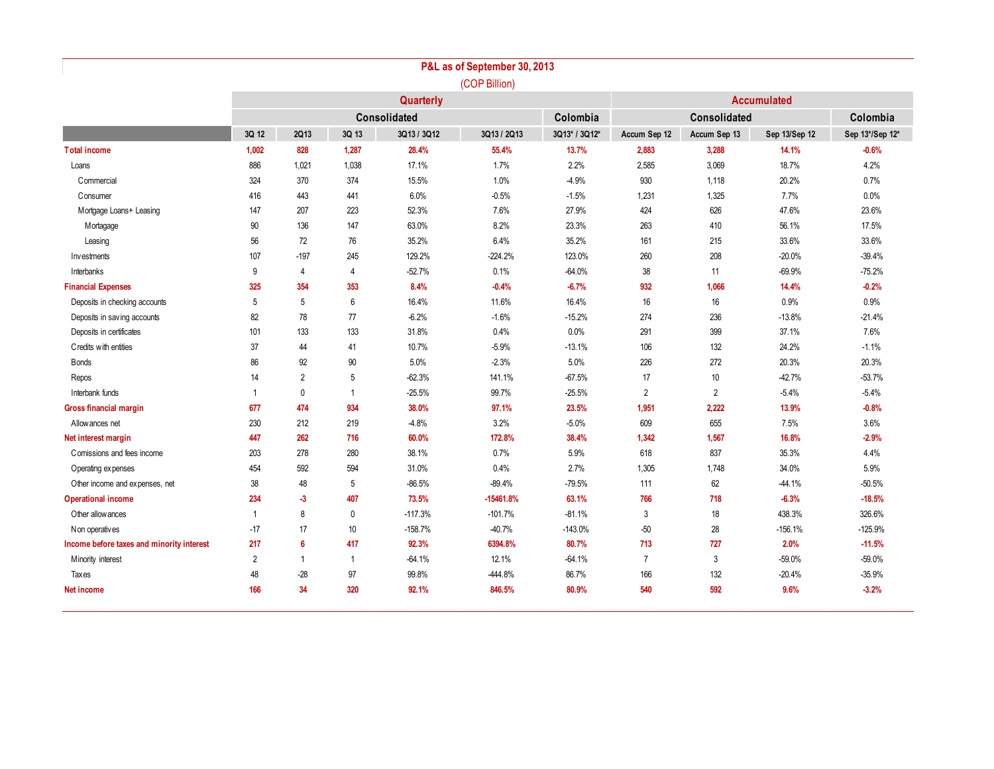|                                           |                |                |                |             | P&L as of September 30, 2013 |               |                |                    |               |                 |  |  |  |  |
|-------------------------------------------|----------------|----------------|----------------|-------------|------------------------------|---------------|----------------|--------------------|---------------|-----------------|--|--|--|--|
|                                           |                |                |                |             | (COP Billion)                |               |                |                    |               |                 |  |  |  |  |
|                                           |                | Quarterly      |                |             |                              |               |                | <b>Accumulated</b> |               |                 |  |  |  |  |
|                                           | Consolidated   |                |                |             | Colombia                     |               | Colombia       |                    |               |                 |  |  |  |  |
|                                           | 3Q 12          | <b>2Q13</b>    | 3Q 13          | 3Q13 / 3Q12 | 3Q13 / 2Q13                  | 3Q13* / 3Q12* | Accum Sep 12   | Accum Sep 13       | Sep 13/Sep 12 | Sep 13*/Sep 12* |  |  |  |  |
| <b>Total income</b>                       | 1,002          | 828            | 1,287          | 28.4%       | 55.4%                        | 13.7%         | 2,883          | 3,288              | 14.1%         | $-0.6%$         |  |  |  |  |
| Loans                                     | 886            | 1,021          | 1,038          | 17.1%       | 1.7%                         | 2.2%          | 2,585          | 3,069              | 18.7%         | 4.2%            |  |  |  |  |
| Commercial                                | 324            | 370            | 374            | 15.5%       | 1.0%                         | $-4.9%$       | 930            | 1,118              | 20.2%         | 0.7%            |  |  |  |  |
| Consumer                                  | 416            | 443            | 441            | 6.0%        | $-0.5%$                      | $-1.5%$       | 1,231          | 1,325              | 7.7%          | 0.0%            |  |  |  |  |
| Mortgage Loans+ Leasing                   | 147            | 207            | 223            | 52.3%       | 7.6%                         | 27.9%         | 424            | 626                | 47.6%         | 23.6%           |  |  |  |  |
| Mortagage                                 | 90             | 136            | 147            | 63.0%       | 8.2%                         | 23.3%         | 263            | 410                | 56.1%         | 17.5%           |  |  |  |  |
| Leasing                                   | 56             | 72             | 76             | 35.2%       | 6.4%                         | 35.2%         | 161            | 215                | 33.6%         | 33.6%           |  |  |  |  |
| Investments                               | 107            | $-197$         | 245            | 129.2%      | $-224.2%$                    | 123.0%        | 260            | 208                | $-20.0%$      | $-39.4%$        |  |  |  |  |
| Interbanks                                | 9              | $\overline{4}$ | $\overline{4}$ | $-52.7%$    | 0.1%                         | $-64.0%$      | 38             | 11                 | $-69.9%$      | $-75.2%$        |  |  |  |  |
| <b>Financial Expenses</b>                 | 325            | 354            | 353            | 8.4%        | $-0.4%$                      | $-6.7%$       | 932            | 1,066              | 14.4%         | $-0.2%$         |  |  |  |  |
| Deposits in checking accounts             | 5              | 5              | 6              | 16.4%       | 11.6%                        | 16.4%         | 16             | 16                 | 0.9%          | 0.9%            |  |  |  |  |
| Deposits in saving accounts               | 82             | 78             | 77             | $-6.2%$     | $-1.6%$                      | $-15.2%$      | 274            | 236                | $-13.8%$      | $-21.4%$        |  |  |  |  |
| Deposits in certificates                  | 101            | 133            | 133            | 31.8%       | 0.4%                         | 0.0%          | 291            | 399                | 37.1%         | 7.6%            |  |  |  |  |
| Credits with entities                     | 37             | 44             | 41             | 10.7%       | $-5.9%$                      | $-13.1%$      | 106            | 132                | 24.2%         | $-1.1%$         |  |  |  |  |
| <b>B</b> onds                             | 86             | 92             | 90             | 5.0%        | $-2.3%$                      | 5.0%          | 226            | 272                | 20.3%         | 20.3%           |  |  |  |  |
| Repos                                     | 14             | $\overline{2}$ | 5              | $-62.3%$    | 141.1%                       | $-67.5%$      | 17             | 10                 | $-42.7%$      | $-53.7%$        |  |  |  |  |
| Interbank funds                           | 1              | $\mathbf 0$    | $\mathbf{1}$   | $-25.5%$    | 99.7%                        | -25.5%        | 2              | 2                  | $-5.4%$       | $-5.4%$         |  |  |  |  |
| Gross financial margin                    | 677            | 474            | 934            | 38.0%       | 97.1%                        | 23.5%         | 1,951          | 2.222              | 13.9%         | $-0.8%$         |  |  |  |  |
| Allowances net                            | 230            | 212            | 219            | $-4.8%$     | 3.2%                         | $-5.0%$       | 609            | 655                | 7.5%          | 3.6%            |  |  |  |  |
| Net interest margin                       | 447            | 262            | 716            | 60.0%       | 172.8%                       | 38.4%         | 1,342          | 1,567              | 16.8%         | $-2.9%$         |  |  |  |  |
| Comissions and fees income                | 203            | 278            | 280            | 38.1%       | 0.7%                         | 5.9%          | 618            | 837                | 35.3%         | 4.4%            |  |  |  |  |
| Operating expenses                        | 454            | 592            | 594            | 31.0%       | 0.4%                         | 2.7%          | 1,305          | 1,748              | 34.0%         | 5.9%            |  |  |  |  |
| Other income and expenses, net            | 38             | 48             | 5              | $-86.5%$    | $-89.4%$                     | $-79.5%$      | 111            | 62                 | $-44.1%$      | $-50.5%$        |  |  |  |  |
| <b>Operational income</b>                 | 234            | $-3$           | 407            | 73.5%       | $-15461.8%$                  | 63.1%         | 766            | 718                | $-6.3%$       | $-18.5%$        |  |  |  |  |
| Other allow ances                         | $\mathbf{1}$   | 8              | 0              | $-117.3%$   | $-101.7%$                    | $-81.1%$      | 3              | 18                 | 438.3%        | 326.6%          |  |  |  |  |
| Non operatives                            | $-17$          | 17             | 10             | $-158.7%$   | $-40.7%$                     | $-143.0%$     | $-50$          | 28                 | $-156.1%$     | $-125.9%$       |  |  |  |  |
| Income before taxes and minority interest | 217            | 6              | 417            | 92.3%       | 6394.8%                      | 80.7%         | 713            | 727                | 2.0%          | $-11.5%$        |  |  |  |  |
| Minority interest                         | $\overline{2}$ | $\overline{1}$ | $\mathbf{1}$   | $-64.1%$    | 12.1%                        | $-64.1%$      | $\overline{7}$ | 3                  | $-59.0%$      | $-59.0%$        |  |  |  |  |
| Taxes                                     | 48             | $-28$          | 97             | 99.8%       | $-444.8%$                    | 86.7%         | 166            | 132                | $-20.4%$      | $-35.9%$        |  |  |  |  |
| Net income                                | 166            | 34             | 320            | 92.1%       | 846.5%                       | 80.9%         | 540            | 592                | 9.6%          | $-3.2%$         |  |  |  |  |